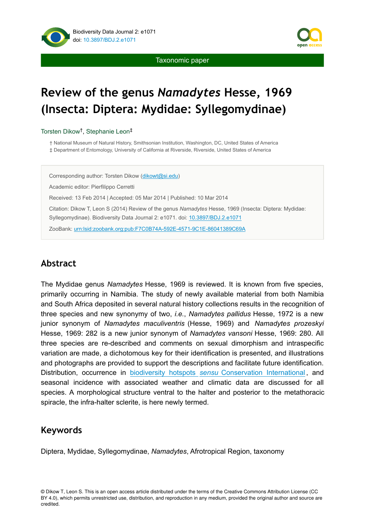



Taxonomic paper

# **Review of the genus** *Namadytes* **Hesse, 1969 (Insecta: Diptera: Mydidae: Syllegomydinae)**

Torsten Dikow<sup>†</sup>, Stephanie Leon<sup>‡</sup>

† National Museum of Natural History, Smithsonian Institution, Washington, DC, United States of America ‡ Department of Entomology, University of California at Riverside, Riverside, United States of America

Corresponding author: Torsten Dikow ([dikowt@si.edu](mailto:dikowt@si.edu))

Academic editor: Pierfilippo Cerretti

Received: 13 Feb 2014 | Accepted: 05 Mar 2014 | Published: 10 Mar 2014

Citation: Dikow T, Leon S (2014) Review of the genus *Namadytes* Hesse, 1969 (Insecta: Diptera: Mydidae: Syllegomydinae). Biodiversity Data Journal 2: e1071. doi: [10.3897/BDJ.2.e1071](http://dx.doi.org/10.3897/BDJ.2.e1071)

ZooBank: [urn:lsid:zoobank.org:pub:F7C0B74A-592E-4571-9C1E-86041389C69A](http://zoobank.org/F7C0B74A-592E-4571-9C1E-86041389C69A)

# **Abstract**

The Mydidae genus *Namadytes* Hesse, 1969 is reviewed. It is known from five species, primarily occurring in Namibia. The study of newly available material from both Namibia and South Africa deposited in several natural history collections results in the recognition of three species and new synonymy of two, *i.e.*, *Namadytes pallidus* Hesse, 1972 is a new junior synonym of *Namadytes maculiventris* (Hesse, 1969) and *Namadytes prozeskyi* Hesse, 1969: 282 is a new junior synonym of *Namadytes vansoni* Hesse, 1969: 280. All three species are re-described and comments on sexual dimorphism and intraspecific variation are made, a dichotomous key for their identification is presented, and illustrations and photographs are provided to support the descriptions and facilitate future identification. Distribution, occurrence in biodiversity hotspots *[sensu](http://www.conservation.org/where/priority_areas/hotspots/Pages/hotspots_main.aspx)* [Conservation International](http://www.conservation.org/where/priority_areas/hotspots/Pages/hotspots_main.aspx) , and seasonal incidence with associated weather and climatic data are discussed for all species. A morphological structure ventral to the halter and posterior to the metathoracic spiracle, the infra-halter sclerite, is here newly termed.

# **Keywords**

Diptera, Mydidae, Syllegomydinae, *Namadytes*, Afrotropical Region, taxonomy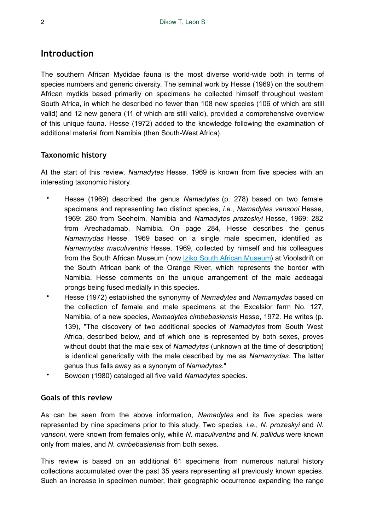# **Introduction**

The southern African Mydidae fauna is the most diverse world-wide both in terms of species numbers and generic diversity. The seminal work by Hesse (1969) on the southern African mydids based primarily on specimens he collected himself throughout western South Africa, in which he described no fewer than 108 new species (106 of which are still valid) and 12 new genera (11 of which are still valid), provided a comprehensive overview of this unique fauna. Hesse (1972) added to the knowledge following the examination of additional material from Namibia (then South-West Africa).

# **Taxonomic history**

At the start of this review, *Namadytes* Hesse, 1969 is known from five species with an interesting taxonomic history.

- Hesse (1969) described the genus *Namadytes* (p. 278) based on two female specimens and representing two distinct species, *i.e.*, *Namadytes vansoni* Hesse, 1969: 280 from Seeheim, Namibia and *Namadytes prozeskyi* Hesse, 1969: 282 from Arechadamab, Namibia. On page 284, Hesse describes the genus *Namamydas* Hesse, 1969 based on a single male specimen, identified as *Namamydas maculiventris* Hesse, 1969, collected by himself and his colleagues from the South African Museum (now [Iziko South African Museum](http://www.iziko.org.za/museums/south-african-museum)) at Vioolsdrift on the South African bank of the Orange River, which represents the border with Namibia. Hesse comments on the unique arrangement of the male aedeagal prongs being fused medially in this species.
- Hesse (1972) established the synonymy of *Namadytes* and *Namamydas* based on the collection of female and male specimens at the Excelsior farm No. 127, Namibia, of a new species, *Namadytes cimbebasiensis* Hesse, 1972. He writes (p. 139), "The discovery of two additional species of *Namadytes* from South West Africa, described below, and of which one is represented by both sexes, proves without doubt that the male sex of *Namadytes* (unknown at the time of description) is identical generically with the male described by me as *Namamydas*. The latter genus thus falls away as a synonym of *Namadytes*."
- Bowden (1980) cataloged all five valid *Namadytes* species.

# **Goals of this review**

As can be seen from the above information, *Namadytes* and its five species were represented by nine specimens prior to this study. Two species, *i.e.*, *N. prozeskyi* and *N. vansoni*, were known from females only, while *N. maculiventris* and *N. pallidus* were known only from males, and *N. cimbebasiensis* from both sexes.

This review is based on an additional 61 specimens from numerous natural history collections accumulated over the past 35 years representing all previously known species. Such an increase in specimen number, their geographic occurrence expanding the range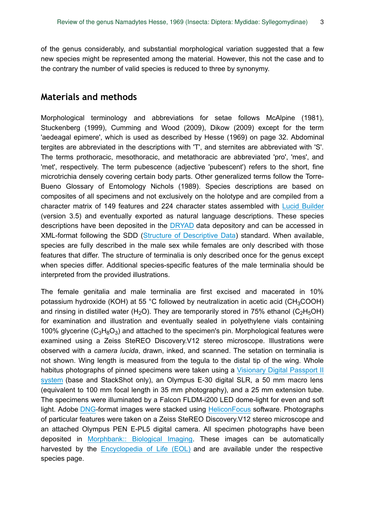of the genus considerably, and substantial morphological variation suggested that a few new species might be represented among the material. However, this not the case and to the contrary the number of valid species is reduced to three by synonymy.

# **Materials and methods**

Morphological terminology and abbreviations for setae follows McAlpine (1981), Stuckenberg (1999), Cumming and Wood (2009), Dikow (2009) except for the term 'aedeagal epimere', which is used as described by Hesse (1969) on page 32. Abdominal tergites are abbreviated in the descriptions with 'T', and sternites are abbreviated with 'S'. The terms prothoracic, mesothoracic, and metathoracic are abbreviated 'pro', 'mes', and 'met', respectively. The term pubescence (adjective 'pubescent') refers to the short, fine microtrichia densely covering certain body parts. Other generalized terms follow the Torre-Bueno Glossary of Entomology Nichols (1989). Species descriptions are based on composites of all specimens and not exclusively on the holotype and are compiled from a character matrix of 149 features and 224 character states assembled with [Lucid Builder](http://www.lucidcentral.org/en-us/software/lucid3.aspx) (version 3.5) and eventually exported as natural language descriptions. These species descriptions have been deposited in the [DRYAD](http://datadryad.org) data depository and can be accessed in XML-format following the SDD ([Structure of Descriptive Data](http://wiki.tdwg.org/SDD)) standard. When available, species are fully described in the male sex while females are only described with those features that differ. The structure of terminalia is only described once for the genus except when species differ. Additional species-specific features of the male terminalia should be interpreted from the provided illustrations.

The female genitalia and male terminalia are first excised and macerated in 10% potassium hydroxide (KOH) at 55 °C followed by neutralization in acetic acid (CH<sub>3</sub>COOH) and rinsing in distilled water (H<sub>2</sub>O). They are temporarily stored in 75% ethanol (C<sub>2</sub>H<sub>5</sub>OH) for examination and illustration and eventually sealed in polyethylene vials containing 100% glycerine ( $C_3H_8O_3$ ) and attached to the specimen's pin. Morphological features were examined using a Zeiss SteREO Discovery.V12 stereo microscope. Illustrations were observed with a *camera lucida*, drawn, inked, and scanned. The setation on terminalia is not shown. Wing length is measured from the tegula to the distal tip of the wing. Whole habitus photographs of pinned specimens were taken using a [Visionary Digital Passport II](http://www.visionarydigital.com/IntegratedSystems3.html) [system](http://www.visionarydigital.com/IntegratedSystems3.html) (base and StackShot only), an Olympus E-30 digital SLR, a 50 mm macro lens (equivalent to 100 mm focal length in 35 mm photography), and a 25 mm extension tube. The specimens were illuminated by a Falcon FLDM-i200 LED dome-light for even and soft light. Adobe [DNG-](http://en.wikipedia.org/wiki/Digital_Negative)format images were stacked using [HeliconFocus](http://www.heliconsoft.com/heliconsoft-products/helicon-focus/) software. Photographs of particular features were taken on a Zeiss SteREO Discovery.V12 stereo microscope and an attached Olympus PEN E-PL5 digital camera. All specimen photographs have been deposited in [Morphbank:: Biological Imaging.](http://www.morphbank.net) These images can be automatically harvested by the [Encyclopedia of Life \(EOL\)](http://eol.org) and are available under the respective species page.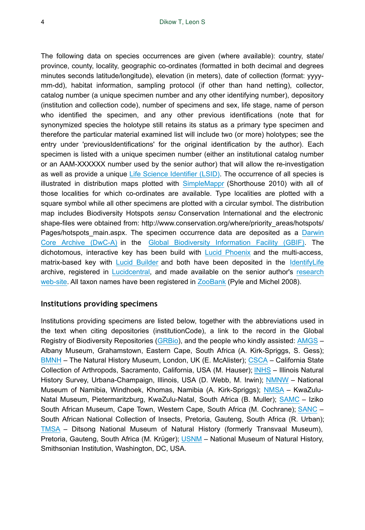The following data on species occurrences are given (where available): country, state/ province, county, locality, geographic co-ordinates (formatted in both decimal and degrees minutes seconds latitude/longitude), elevation (in meters), date of collection (format: yyyymm-dd), habitat information, sampling protocol (if other than hand netting), collector, catalog number (a unique specimen number and any other identifying number), depository (institution and collection code), number of specimens and sex, life stage, name of person who identified the specimen, and any other previous identifications (note that for synonymized species the holotype still retains its status as a primary type specimen and therefore the particular material examined list will include two (or more) holotypes; see the entry under 'previousIdentifications' for the original identification by the author). Each specimen is listed with a unique specimen number (either an institutional catalog number or an AAM-XXXXXX number used by the senior author) that will allow the re-investigation as well as provide a unique [Life Science Identifier \(LSID\).](http://www.tdwg.org/standards/150/) The occurrence of all species is illustrated in distribution maps plotted with [SimpleMappr](http://www.simplemappr.net) (Shorthouse 2010) with all of those localities for which co-ordinates are available. Type localities are plotted with a square symbol while all other specimens are plotted with a circular symbol. The distribution map includes Biodiversity Hotspots *sensu* Conservation International and the electronic shape-files were obtained from: http://www.conservation.org/where/priority\_areas/hotspots/ Pages/hotspots main.aspx. The specimen occurrence data are deposited as a [Darwin](http://en.wikipedia.org/wiki/Darwin_Core_Archive) [Core Archive \(DwC-A\)](http://en.wikipedia.org/wiki/Darwin_Core_Archive) in the [Global Biodiversity Information Facility \(GBIF\)](http://gbif.org). The dichotomous, interactive key has been build with [Lucid Phoenix](http://www.lucidcentral.com/en-us/software/lucidphoenix.aspx) and the multi-access, matrix-based key with [Lucid Builder](http://www.lucidcentral.org/en-us/software/lucid3.aspx) and both have been deposited in the [IdentifyLife](http://identifylife.org) archive, registered in [Lucidcentral](http://www.lucidcentral.org), and made available on the senior author's [research](http://asiloidflies.si.edu) [web-site.](http://asiloidflies.si.edu) All taxon names have been registered in [ZooBank](http://zoobank.org) (Pyle and Michel 2008).

#### **Institutions providing specimens**

Institutions providing specimens are listed below, together with the abbreviations used in the text when citing depositories (institutionCode), a link to the record in the Global Registry of Biodiversity Repositories ([GRBio\)](http://grbio.org), and the people who kindly assisted: [AMGS](http://biocol.org/urn:lsid:biocol.org:col:32968) – Albany Museum, Grahamstown, Eastern Cape, South Africa (A. Kirk-Spriggs, S. Gess); [BMNH](http://biocol.org/urn:lsid:biocol.org:col:1009) – The Natural History Museum, London, UK (E. McAlister); [CSCA](http://biocol.org/urn:lsid:biocol.org:col:33156) – California State Collection of Arthropods, Sacramento, California, USA (M. Hauser); [INHS](http://biocol.org/urn:lsid:biocol.org:col:33527) – Illinois Natural History Survey, Urbana-Champaign, Illinois, USA (D. Webb, M. Irwin); [NMNW](http://biocol.org/urn:lsid:biocol.org:col:34029) – National Museum of Namibia, Windhoek, Khomas, Namibia (A. Kirk-Spriggs); [NMSA](http://biocol.org/urn:lsid:biocol.org:col:34036) – KwaZulu-Natal Museum, Pietermaritzburg, KwaZulu-Natal, South Africa (B. Muller); [SAMC](http://biocol.org/urn:lsid:biocol.org:col:1018) – Iziko South African Museum, Cape Town, Western Cape, South Africa (M. Cochrane); [SANC](http://biocol.org/urn:lsid:biocol.org:col:34248) – South African National Collection of Insects, Pretoria, Gauteng, South Africa (R. Urban); [TMSA](http://biocol.org/urn:lsid:biocol.org:col:34370) – Ditsong National Museum of Natural History (formerly Transvaal Museum), Pretoria, Gauteng, South Africa (M. Krüger); [USNM](http://biocol.org/urn:lsid:biocol.org:col:1019) – National Museum of Natural History, Smithsonian Institution, Washington, DC, USA.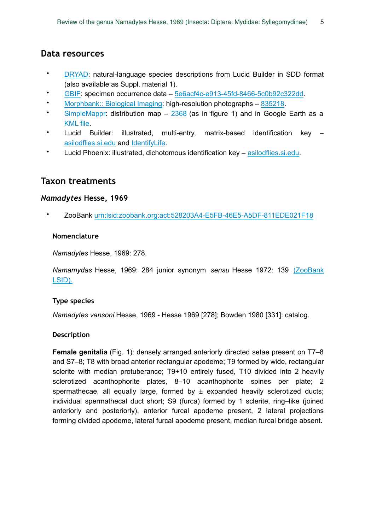# **Data resources**

- [DRYAD](http://www.datadryad.org): natural-language species descriptions from Lucid Builder in SDD format (also available as Suppl. material 1).
- [GBIF](http://www.gbif.org): specimen occurrence data [5e6acf4c-e913-45fd-8466-5c0b92c322dd](http://www.gbif.org/dataset/5e6acf4c-e913-45fd-8466-5c0b92c322dd).
- [Morphbank:: Biological Imaging](http://www.morphbank.net): high-resolution photographs [835218.](http://www.morphbank.net/myCollection/?id=835218)
- [SimpleMappr](http://www.simplemappr.net): distribution map [2368](http://www.simplemappr.net/map/2368) (as in figure 1) and in Google Earth as a [KML file.](http://www.simplemappr.net/map/2368.kml)
- Lucid Builder: illustrated, multi-entry, matrix-based identification key [asilodflies.si.edu](http://asiloidflies.si.edu/content/online-identification-keys) and [IdentifyLife](http://www2.identifylife.org).
- Lucid Phoenix: illustrated, dichotomous identification key [asilodflies.si.edu.](http://asiloidflies.si.edu/content/online-identification-keys)

# **Taxon treatments**

### *Namadytes* **Hesse, 1969**

• ZooBank [urn:lsid:zoobank.org:act:528203A4-E5FB-46E5-A5DF-811EDE021F18](http://zoobank.org/528203A4-E5FB-46E5-A5DF-811EDE021F18)

### **Nomenclature**

*Namadytes* Hesse, 1969: 278.

*Namamydas* Hesse, 1969: 284 junior synonym *sensu* Hesse 1972: 139 [\(ZooBank](http://zoobank.org/?lsid=urn:lsid:zoobank.org:act:B7FC98D6-2AC9-4306-B8CD-8D490D30BB0F) [LSID\).](http://zoobank.org/?lsid=urn:lsid:zoobank.org:act:B7FC98D6-2AC9-4306-B8CD-8D490D30BB0F)

### **Type species**

*Namadytes vansoni* Hesse, 1969 - Hesse 1969 [278]; Bowden 1980 [331]: catalog.

### **Description**

**Female genitalia** (Fig. 1): densely arranged anteriorly directed setae present on T7–8 and S7–8; T8 with broad anterior rectangular apodeme; T9 formed by wide, rectangular sclerite with median protuberance; T9+10 entirely fused, T10 divided into 2 heavily sclerotized acanthophorite plates, 8–10 acanthophorite spines per plate; 2 spermathecae, all equally large, formed by  $\pm$  expanded heavily sclerotized ducts; individual spermathecal duct short; S9 (furca) formed by 1 sclerite, ring–like (joined anteriorly and posteriorly), anterior furcal apodeme present, 2 lateral projections forming divided apodeme, lateral furcal apodeme present, median furcal bridge absent.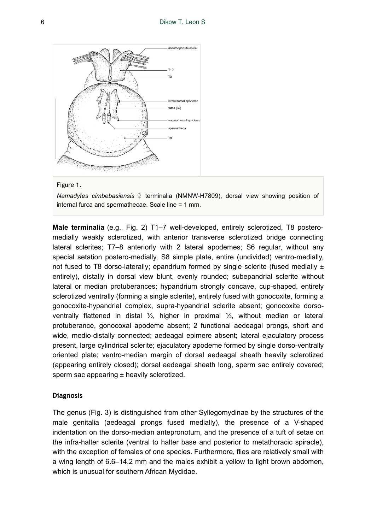

#### Figure 1.

*Namadytes cimbebasiensis* ♀ terminalia (NMNW-H7809), dorsal view showing position of internal furca and spermathecae. Scale line = 1 mm.

**Male terminalia** (e.g., Fig. 2) T1–7 well-developed, entirely sclerotized, T8 posteromedially weakly sclerotized, with anterior transverse sclerotized bridge connecting lateral sclerites; T7–8 anteriorly with 2 lateral apodemes; S6 regular, without any special setation postero-medially, S8 simple plate, entire (undivided) ventro-medially, not fused to T8 dorso-laterally; epandrium formed by single sclerite (fused medially  $\pm$ entirely), distally in dorsal view blunt, evenly rounded; subepandrial sclerite without lateral or median protuberances; hypandrium strongly concave, cup-shaped, entirely sclerotized ventrally (forming a single sclerite), entirely fused with gonocoxite, forming a gonocoxite-hypandrial complex, supra-hypandrial sclerite absent; gonocoxite dorsoventrally flattened in distal ½, higher in proximal ½, without median or lateral protuberance, gonocoxal apodeme absent; 2 functional aedeagal prongs, short and wide, medio-distally connected; aedeagal epimere absent; lateral ejaculatory process present, large cylindrical sclerite; ejaculatory apodeme formed by single dorso-ventrally oriented plate; ventro-median margin of dorsal aedeagal sheath heavily sclerotized (appearing entirely closed); dorsal aedeagal sheath long, sperm sac entirely covered; sperm sac appearing ± heavily sclerotized.

#### **Diagnosis**

The genus (Fig. 3) is distinguished from other Syllegomydinae by the structures of the male genitalia (aedeagal prongs fused medially), the presence of a V-shaped indentation on the dorso-median antepronotum, and the presence of a tuft of setae on the infra-halter sclerite (ventral to halter base and posterior to metathoracic spiracle), with the exception of females of one species. Furthermore, flies are relatively small with a wing length of 6.6–14.2 mm and the males exhibit a yellow to light brown abdomen, which is unusual for southern African Mydidae.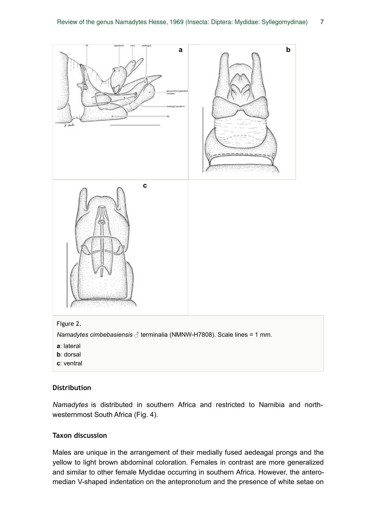

#### **Distribution**

*Namadytes* is distributed in southern Africa and restricted to Namibia and northwesternmost South Africa (Fig. 4).

### **Taxon discussion**

Males are unique in the arrangement of their medially fused aedeagal prongs and the yellow to light brown abdominal coloration. Females in contrast are more generalized and similar to other female Mydidae occurring in southern Africa. However, the anteromedian V-shaped indentation on the antepronotum and the presence of white setae on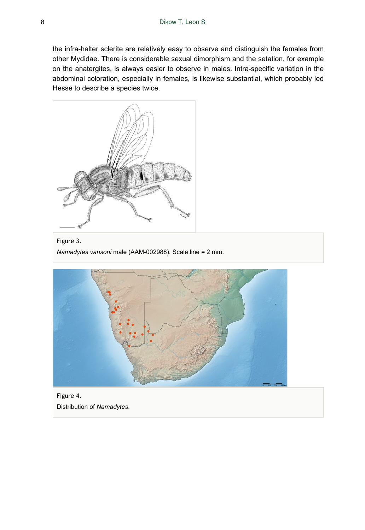the infra-halter sclerite are relatively easy to observe and distinguish the females from other Mydidae. There is considerable sexual dimorphism and the setation, for example on the anatergites, is always easier to observe in males. Intra-specific variation in the abdominal coloration, especially in females, is likewise substantial, which probably led Hesse to describe a species twice.



Figure 3. *Namadytes vansoni* male (AAM-002988). Scale line = 2 mm.



Figure 4. Distribution of *Namadytes*.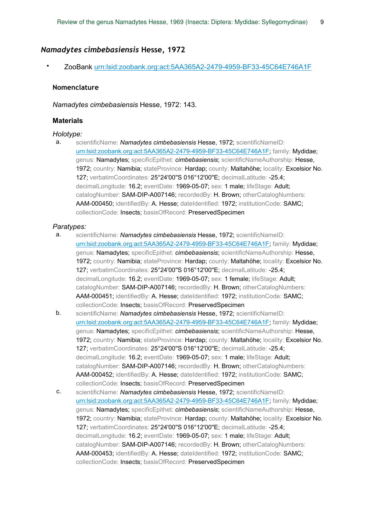#### *Namadytes cimbebasiensis* **Hesse, 1972**

• ZooBank urn:lsid:zoobank.org:act:5AA365A2-2479-4959-BF33-45C64E746A1F

#### **Nomenclature**

*Namadytes cimbebasiensis* Hesse, 1972: 143.

#### **Materials**

#### *Holotype:*

a. scientificName: *Namadytes cimbebasiensis* Hesse, 1972; scientificNameID: urn:lsid:zoobank.org:act:5AA365A2-2479-4959-BF33-45C64E746A1F; family: Mydidae; genus: Namadytes; specificEpithet: *cimbebasiensis*; scientificNameAuthorship: Hesse, 1972; country: Namibia; stateProvince: Hardap; county: Maltahöhe; locality: Excelsior No. 127; verbatimCoordinates: 25°24'00''S 016°12'00''E; decimalLatitude: -25.4; decimalLongitude: 16.2; eventDate: 1969-05-07; sex: 1 male; lifeStage: Adult; catalogNumber: SAM-DIP-A007146; recordedBy: H. Brown; otherCatalogNumbers: AAM-000450; identifiedBy: A. Hesse; dateIdentified: 1972; institutionCode: SAMC; collectionCode: Insects; basisOfRecord: PreservedSpecimen

#### *Paratypes:*

- a. scientificName: *Namadytes cimbebasiensis* Hesse, 1972; scientificNameID: urn:lsid:zoobank.org:act:5AA365A2-2479-4959-BF33-45C64E746A1F; family: Mydidae; genus: Namadytes; specificEpithet: *cimbebasiensis*; scientificNameAuthorship: Hesse, 1972; country: Namibia; stateProvince: Hardap; county: Maltahöhe; locality: Excelsior No. 127; verbatimCoordinates: 25°24'00''S 016°12'00''E; decimalLatitude: -25.4; decimalLongitude: 16.2; eventDate: 1969-05-07; sex: 1 female; lifeStage: Adult; catalogNumber: SAM-DIP-A007146; recordedBy: H. Brown; otherCatalogNumbers: AAM-000451; identifiedBy: A. Hesse; dateIdentified: 1972; institutionCode: SAMC; collectionCode: Insects; basisOfRecord: PreservedSpecimen
- b. scientificName: *Namadytes cimbebasiensis* Hesse, 1972; scientificNameID: urn:lsid:zoobank.org:act:5AA365A2-2479-4959-BF33-45C64E746A1F; family: Mydidae; genus: Namadytes; specificEpithet: *cimbebasiensis*; scientificNameAuthorship: Hesse, 1972; country: Namibia; stateProvince: Hardap; county: Maltahöhe; locality: Excelsior No. 127; verbatimCoordinates: 25°24'00''S 016°12'00''E; decimalLatitude: -25.4; decimalLongitude: 16.2; eventDate: 1969-05-07; sex: 1 male; lifeStage: Adult; catalogNumber: SAM-DIP-A007146; recordedBy: H. Brown; otherCatalogNumbers: AAM-000452; identifiedBy: A. Hesse; dateIdentified: 1972; institutionCode: SAMC; collectionCode: Insects; basisOfRecord: PreservedSpecimen
- c. scientificName: *Namadytes cimbebasiensis* Hesse, 1972; scientificNameID: urn:lsid:zoobank.org:act:5AA365A2-2479-4959-BF33-45C64E746A1F; family: Mydidae; genus: Namadytes; specificEpithet: *cimbebasiensis*; scientificNameAuthorship: Hesse, 1972; country: Namibia; stateProvince: Hardap; county: Maltahöhe; locality: Excelsior No. 127; verbatimCoordinates: 25°24'00''S 016°12'00''E; decimalLatitude: -25.4; decimalLongitude: 16.2; eventDate: 1969-05-07; sex: 1 male; lifeStage: Adult; catalogNumber: SAM-DIP-A007146; recordedBy: H. Brown; otherCatalogNumbers: AAM-000453; identifiedBy: A. Hesse; dateIdentified: 1972; institutionCode: SAMC; collectionCode: Insects; basisOfRecord: PreservedSpecimen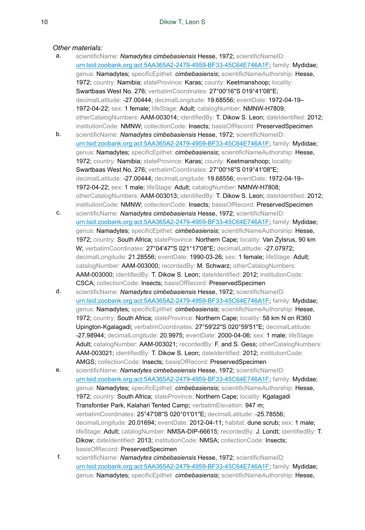#### *Other materials:*

- a. scientificName: *Namadytes cimbebasiensis* Hesse, 1972; scientificNameID: urn:lsid:zoobank.org:act:5AA365A2-2479-4959-BF33-45C64E746A1F; family: Mydidae; genus: Namadytes; specificEpithet: *cimbebasiensis*; scientificNameAuthorship: Hesse, 1972; country: Namibia; stateProvince: Karas; county: Keetmanshoop; locality: Swartbaas West No. 276; verbatimCoordinates: 27°00'16''S 019°41'08''E; decimalLatitude: -27.00444; decimalLongitude: 19.68556; eventDate: 1972-04-19– 1972-04-22; sex: 1 female; lifeStage: Adult; catalogNumber: NMNW-H7809; otherCatalogNumbers: AAM-003014; identifiedBy: T. Dikow S. Leon; dateIdentified: 2012; institutionCode: NMNW; collectionCode: Insects; basisOfRecord: PreservedSpecimen
- b. scientificName: *Namadytes cimbebasiensis* Hesse, 1972; scientificNameID: urn:lsid:zoobank.org:act:5AA365A2-2479-4959-BF33-45C64E746A1F; family: Mydidae; genus: Namadytes; specificEpithet: *cimbebasiensis*; scientificNameAuthorship: Hesse, 1972; country: Namibia; stateProvince: Karas; county: Keetmanshoop; locality: Swartbaas West No. 276; verbatimCoordinates: 27°00'16''S 019°41'08''E; decimalLatitude: -27.00444; decimalLongitude: 19.68556; eventDate: 1972-04-19– 1972-04-22; sex: 1 male; lifeStage: Adult; catalogNumber: NMNW-H7808; otherCatalogNumbers: AAM-003013; identifiedBy: T. Dikow S. Leon; dateIdentified: 2012; institutionCode: NMNW; collectionCode: Insects; basisOfRecord: PreservedSpecimen
- c. scientificName: *Namadytes cimbebasiensis* Hesse, 1972; scientificNameID: urn:lsid:zoobank.org:act:5AA365A2-2479-4959-BF33-45C64E746A1F; family: Mydidae; genus: Namadytes; specificEpithet: *cimbebasiensis*; scientificNameAuthorship: Hesse, 1972; country: South Africa; stateProvince: Northern Cape; locality: Van Zylsrus, 90 km W; verbatimCoordinates: 27°04'47''S 021°17'08''E; decimalLatitude: -27.07972; decimalLongitude: 21.28556; eventDate: 1990-03-26; sex: 1 female; lifeStage: Adult; catalogNumber: AAM-003000; recordedBy: M. Schwarz; otherCatalogNumbers: AAM-003000; identifiedBy: T. Dikow S. Leon; dateIdentified: 2012; institutionCode: CSCA; collectionCode: Insects; basisOfRecord: PreservedSpecimen
- d. scientificName: *Namadytes cimbebasiensis* Hesse, 1972; scientificNameID: urn:lsid:zoobank.org:act:5AA365A2-2479-4959-BF33-45C64E746A1F; family: Mydidae; genus: Namadytes; specificEpithet: *cimbebasiensis*; scientificNameAuthorship: Hesse, 1972; country: South Africa; stateProvince: Northern Cape; locality: 58 km N on R360 Upington-Kgalagadi; verbatimCoordinates: 27°59'22''S 020°59'51''E; decimalLatitude: -27.98944; decimalLongitude: 20.9975; eventDate: 2000-04-06; sex: 1 male; lifeStage: Adult: catalogNumber: AAM-003021: recordedBy: F. and S. Gess: otherCatalogNumbers: AAM-003021; identifiedBy: T. Dikow S. Leon; dateIdentified: 2012; institutionCode: AMGS; collectionCode: Insects; basisOfRecord: PreservedSpecimen
- e. scientificName: *Namadytes cimbebasiensis* Hesse, 1972; scientificNameID: urn:lsid:zoobank.org:act:5AA365A2-2479-4959-BF33-45C64E746A1F; family: Mydidae; genus: Namadytes; specificEpithet: *cimbebasiensis*; scientificNameAuthorship: Hesse, 1972; country: South Africa; stateProvince: Northern Cape; locality: Kgalagadi Transfontier Park, Kalahari Tented Camp; verbatimElevation: 947 m; verbatimCoordinates: 25°47'08''S 020°01'01''E; decimalLatitude: -25.78556; decimalLongitude: 20.01694; eventDate: 2012-04-11; habitat: dune scrub; sex: 1 male; lifeStage: Adult; catalogNumber: NMSA-DIP-66615; recordedBy: J. Londt; identifiedBy: T. Dikow; dateIdentified: 2013; institutionCode: NMSA; collectionCode: Insects; basisOfRecord: PreservedSpecimen
- f. scientificName: *Namadytes cimbebasiensis* Hesse, 1972; scientificNameID: urn:lsid:zoobank.org:act:5AA365A2-2479-4959-BF33-45C64E746A1F; family: Mydidae; genus: Namadytes; specificEpithet: *cimbebasiensis*; scientificNameAuthorship: Hesse,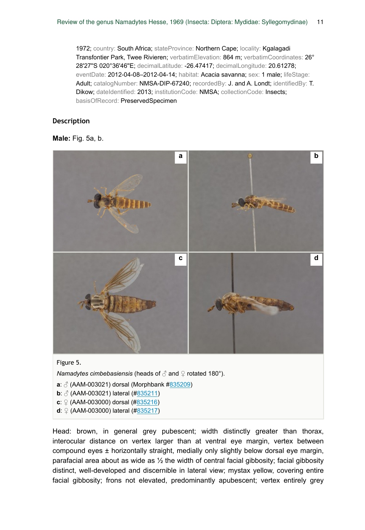1972; country: South Africa; stateProvince: Northern Cape; locality: Kgalagadi Transfontier Park, Twee Rivieren; verbatimElevation: 864 m; verbatimCoordinates: 26° 28'27''S 020°36'46''E; decimalLatitude: -26.47417; decimalLongitude: 20.61278; eventDate: 2012-04-08–2012-04-14; habitat: Acacia savanna; sex: 1 male; lifeStage: Adult; catalogNumber: NMSA-DIP-67240; recordedBy: J. and A. Londt; identifiedBy: T. Dikow; dateIdentified: 2013; institutionCode: NMSA; collectionCode: Insects; basisOfRecord: PreservedSpecimen

#### **Description**

#### **Male:** Fig. 5a, b.



Figure 5.

*Namadytes cimbebasiensis* (heads of ∂ and ♀ rotated 180°).

- **a**: ♂ (AAM-003021) dorsal (Morphbank #835209)
- **b**:  $\delta$  (AAM-003021) lateral (#835211)
- **c**: ♀ (AAM-003000) dorsal (#835216)
- **d**: ♀ (AAM-003000) lateral (#835217)

Head: brown, in general grey pubescent; width distinctly greater than thorax, interocular distance on vertex larger than at ventral eye margin, vertex between compound eyes ± horizontally straight, medially only slightly below dorsal eye margin, parafacial area about as wide as ½ the width of central facial gibbosity; facial gibbosity distinct, well-developed and discernible in lateral view; mystax yellow, covering entire facial gibbosity; frons not elevated, predominantly apubescent; vertex entirely grey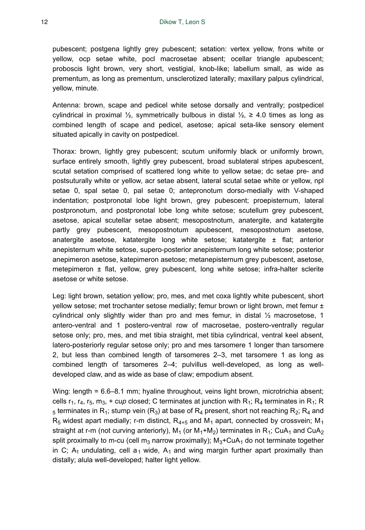pubescent; postgena lightly grey pubescent; setation: vertex yellow, frons white or yellow, ocp setae white, pocl macrosetae absent; ocellar triangle apubescent; proboscis light brown, very short, vestigial, knob-like; labellum small, as wide as prementum, as long as prementum, unsclerotized laterally; maxillary palpus cylindrical, yellow, minute.

Antenna: brown, scape and pedicel white setose dorsally and ventrally; postpedicel cylindrical in proximal ½, symmetrically bulbous in distal  $\frac{1}{2}$ ,  $\geq 4.0$  times as long as combined length of scape and pedicel, asetose; apical seta-like sensory element situated apically in cavity on postpedicel.

Thorax: brown, lightly grey pubescent; scutum uniformly black or uniformly brown, surface entirely smooth, lightly grey pubescent, broad sublateral stripes apubescent, scutal setation comprised of scattered long white to yellow setae; dc setae pre- and postsuturally white or yellow, acr setae absent, lateral scutal setae white or yellow, npl setae 0, spal setae 0, pal setae 0; antepronotum dorso-medially with V-shaped indentation; postpronotal lobe light brown, grey pubescent; proepisternum, lateral postpronotum, and postpronotal lobe long white setose; scutellum grey pubescent, asetose, apical scutellar setae absent; mesopostnotum, anatergite, and katatergite partly grey pubescent, mesopostnotum apubescent, mesopostnotum asetose, anatergite asetose, katatergite long white setose; katatergite  $\pm$  flat; anterior anepisternum white setose, supero-posterior anepisternum long white setose; posterior anepimeron asetose, katepimeron asetose; metanepisternum grey pubescent, asetose, metepimeron ± flat, yellow, grey pubescent, long white setose; infra-halter sclerite asetose or white setose.

Leg: light brown, setation yellow; pro, mes, and met coxa lightly white pubescent, short yellow setose; met trochanter setose medially; femur brown or light brown, met femur ± cylindrical only slightly wider than pro and mes femur, in distal  $\frac{1}{2}$  macrosetose, 1 antero-ventral and 1 postero-ventral row of macrosetae, postero-ventrally regular setose only; pro, mes, and met tibia straight, met tibia cylindrical, ventral keel absent, latero-posteriorly regular setose only; pro and mes tarsomere 1 longer than tarsomere 2, but less than combined length of tarsomeres 2–3, met tarsomere 1 as long as combined length of tarsomeres 2–4; pulvillus well-developed, as long as welldeveloped claw, and as wide as base of claw; empodium absent.

Wing: length = 6.6–8.1 mm; hyaline throughout, veins light brown, microtrichia absent; cells  $r_1$ ,  $r_4$ ,  $r_5$ ,  $m_3$ , + cup closed; C terminates at junction with  $R_1$ ;  $R_4$  terminates in  $R_1$ ; R  $_5$  terminates in R<sub>1</sub>; stump vein (R<sub>3</sub>) at base of R<sub>4</sub> present, short not reaching R<sub>2</sub>; R<sub>4</sub> and  $R_5$  widest apart medially; r-m distinct,  $R_{4+5}$  and  $M_1$  apart, connected by crossvein; M<sub>1</sub> straight at r-m (not curving anteriorly),  $M_1$  (or  $M_1+M_2$ ) terminates in R<sub>1</sub>; CuA<sub>1</sub> and CuA<sub>2</sub> split proximally to m-cu (cell m<sub>3</sub> narrow proximally);  $M_3+CuA_1$  do not terminate together in C;  $A_1$  undulating, cell  $a_1$  wide,  $A_1$  and wing margin further apart proximally than distally; alula well-developed; halter light yellow.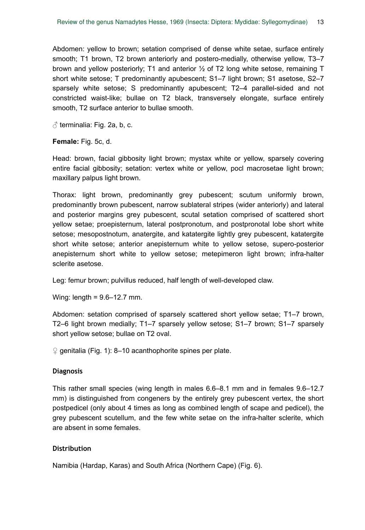Abdomen: yellow to brown; setation comprised of dense white setae, surface entirely smooth; T1 brown, T2 brown anteriorly and postero-medially, otherwise yellow, T3–7 brown and yellow posteriorly; T1 and anterior  $\frac{1}{2}$  of T2 long white setose, remaining T short white setose; T predominantly apubescent; S1–7 light brown; S1 asetose, S2–7 sparsely white setose; S predominantly apubescent; T2–4 parallel-sided and not constricted waist-like; bullae on T2 black, transversely elongate, surface entirely smooth, T2 surface anterior to bullae smooth.

 $\beta$  terminalia: Fig. 2a, b, c.

**Female:** Fig. 5c, d.

Head: brown, facial gibbosity light brown; mystax white or yellow, sparsely covering entire facial gibbosity; setation: vertex white or yellow, pocl macrosetae light brown; maxillary palpus light brown.

Thorax: light brown, predominantly grey pubescent; scutum uniformly brown, predominantly brown pubescent, narrow sublateral stripes (wider anteriorly) and lateral and posterior margins grey pubescent, scutal setation comprised of scattered short yellow setae; proepisternum, lateral postpronotum, and postpronotal lobe short white setose; mesopostnotum, anatergite, and katatergite lightly grey pubescent, katatergite short white setose; anterior anepisternum white to yellow setose, supero-posterior anepisternum short white to yellow setose; metepimeron light brown; infra-halter sclerite asetose.

Leg: femur brown; pulvillus reduced, half length of well-developed claw.

Wing: length = 9.6–12.7 mm.

Abdomen: setation comprised of sparsely scattered short yellow setae; T1–7 brown, T2–6 light brown medially; T1–7 sparsely yellow setose; S1–7 brown; S1–7 sparsely short yellow setose; bullae on T2 oval.

 $\Omega$  genitalia (Fig. 1): 8–10 acanthophorite spines per plate.

### **Diagnosis**

This rather small species (wing length in males 6.6–8.1 mm and in females 9.6–12.7 mm) is distinguished from congeners by the entirely grey pubescent vertex, the short postpedicel (only about 4 times as long as combined length of scape and pedicel), the grey pubescent scutellum, and the few white setae on the infra-halter sclerite, which are absent in some females.

### **Distribution**

Namibia (Hardap, Karas) and South Africa (Northern Cape) (Fig. 6).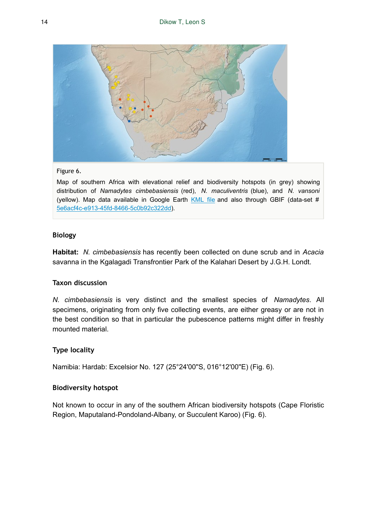![](_page_13_Picture_1.jpeg)

#### Figure 6.

Map of southern Africa with elevational relief and biodiversity hotspots (in grey) showing distribution of *Namadytes cimbebasiensis* (red), *N. maculiventris* (blue), and *N. vansoni* (yellow). Map data available in Google Earth KML file and also through GBIF (data-set # 5e6acf4c-e913-45fd-8466-5c0b92c322dd).

### **Biology**

**Habitat:** *N. cimbebasiensis* has recently been collected on dune scrub and in *Acacia* savanna in the Kgalagadi Transfrontier Park of the Kalahari Desert by J.G.H. Londt.

### **Taxon discussion**

*N. cimbebasiensis* is very distinct and the smallest species of *Namadytes*. All specimens, originating from only five collecting events, are either greasy or are not in the best condition so that in particular the pubescence patterns might differ in freshly mounted material.

# **Type locality**

Namibia: Hardab: Excelsior No. 127 (25°24'00''S, 016°12'00''E) (Fig. 6).

### **Biodiversity hotspot**

Not known to occur in any of the southern African biodiversity hotspots (Cape Floristic Region, Maputaland-Pondoland-Albany, or Succulent Karoo) (Fig. 6).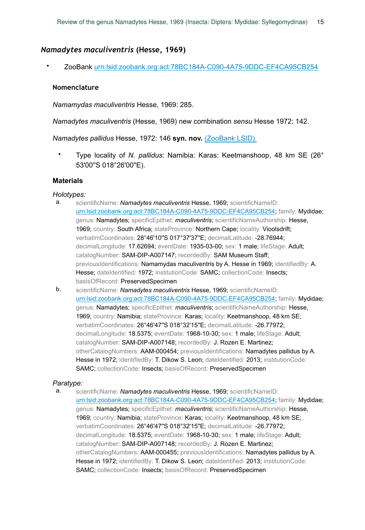### *Namadytes maculiventris* **(Hesse, 1969)**

• ZooBank urn:lsid:zoobank.org:act:78BC184A-C090-4A75-9DDC-EF4CA95CB254

#### **Nomenclature**

*Namamydas maculiventris* Hesse, 1969: 285.

*Namadytes maculiventris* (Hesse, 1969) new combination *sensu* Hesse 1972: 142.

*Namadytes pallidus* Hesse, 1972: 146 **syn. nov.** (ZooBank LSID).

• Type locality of *N. pallidus*: Namibia: Karas: Keetmanshoop, 48 km SE (26° 53'00''S 018°26'00''E).

#### **Materials**

#### *Holotypes:*

- a. scientificName: *Namadytes maculiventris* Hesse, 1969; scientificNameID: urn:lsid:zoobank.org:act:78BC184A-C090-4A75-9DDC-EF4CA95CB254; family: Mydidae; genus: Namadytes; specificEpithet: *maculiventris*; scientificNameAuthorship: Hesse, 1969; country: South Africa; stateProvince: Northern Cape; locality: Vioolsdrift; verbatimCoordinates: 28°46'10''S 017°37'37''E; decimalLatitude: -28.76944; decimalLongitude: 17.62694; eventDate: 1935-03-00; sex: 1 male; lifeStage: Adult; catalogNumber: SAM-DIP-A007147; recordedBy: SAM Museum Staff; previousIdentifications: Namamydas maculiventris by A. Hesse in 1969; identifiedBy: A. Hesse; dateIdentified: 1972; institutionCode: SAMC; collectionCode: Insects; basisOfRecord: PreservedSpecimen
- b. scientificName: *Namadytes maculiventris* Hesse, 1969; scientificNameID: urn:lsid:zoobank.org:act:78BC184A-C090-4A75-9DDC-EF4CA95CB254; family: Mydidae; genus: Namadytes; specificEpithet: *maculiventris*; scientificNameAuthorship: Hesse, 1969; country: Namibia; stateProvince: Karas; locality: Keetmanshoop, 48 km SE; verbatimCoordinates: 26°46'47''S 018°32'15''E; decimalLatitude: -26.77972; decimalLongitude: 18.5375; eventDate: 1968-10-30; sex: 1 male; lifeStage: Adult; catalogNumber: SAM-DIP-A007148; recordedBy: J. Rozen E. Martinez; otherCatalogNumbers: AAM-000454; previousIdentifications: Namadytes pallidus by A. Hesse in 1972; identifiedBy: T. Dikow S. Leon; dateIdentified: 2013; institutionCode: SAMC; collectionCode: Insects; basisOfRecord: PreservedSpecimen

### *Paratype:*

a. scientificName: *Namadytes maculiventris* Hesse, 1969; scientificNameID: urn:lsid:zoobank.org:act:78BC184A-C090-4A75-9DDC-EF4CA95CB254; family: Mydidae; genus: Namadytes; specificEpithet: *maculiventris*; scientificNameAuthorship: Hesse, 1969; country: Namibia; stateProvince: Karas; locality: Keetmanshoop, 48 km SE; verbatimCoordinates: 26°46'47"S 018°32'15"E; decimalLatitude: -26.77972; decimalLongitude: 18.5375; eventDate: 1968-10-30; sex: 1 male; lifeStage: Adult; catalogNumber: SAM-DIP-A007148; recordedBy: J. Rozen E. Martinez; otherCatalogNumbers: AAM-000455; previousIdentifications: Namadytes pallidus by A. Hesse in 1972; identifiedBy: T. Dikow S. Leon; dateIdentified: 2013; institutionCode: SAMC; collectionCode: Insects; basisOfRecord: PreservedSpecimen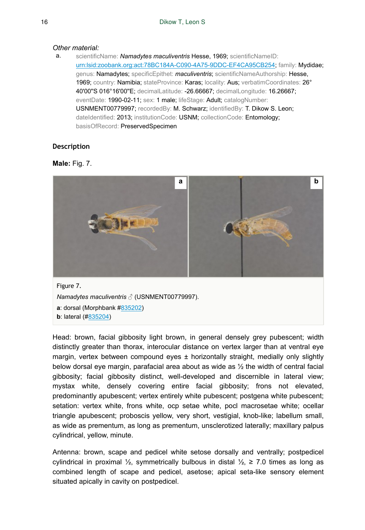#### *Other material:*

a. scientificName: *Namadytes maculiventris* Hesse, 1969; scientificNameID: urn:lsid:zoobank.org:act:78BC184A-C090-4A75-9DDC-EF4CA95CB254; family: Mydidae; genus: Namadytes; specificEpithet: *maculiventris*; scientificNameAuthorship: Hesse, 1969; country: Namibia; stateProvince: Karas; locality: Aus; verbatimCoordinates: 26° 40'00''S 016°16'00''E; decimalLatitude: -26.66667; decimalLongitude: 16.26667; eventDate: 1990-02-11; sex: 1 male; lifeStage: Adult; catalogNumber: USNMENT00779997; recordedBy: M. Schwarz; identifiedBy: T. Dikow S. Leon; dateIdentified: 2013; institutionCode: USNM; collectionCode: Entomology; basisOfRecord: PreservedSpecimen

# **Description**

### **Male:** Fig. 7.

![](_page_15_Picture_5.jpeg)

Head: brown, facial gibbosity light brown, in general densely grey pubescent; width distinctly greater than thorax, interocular distance on vertex larger than at ventral eye margin, vertex between compound eyes  $\pm$  horizontally straight, medially only slightly below dorsal eye margin, parafacial area about as wide as ½ the width of central facial gibbosity; facial gibbosity distinct, well-developed and discernible in lateral view; mystax white, densely covering entire facial gibbosity; frons not elevated, predominantly apubescent; vertex entirely white pubescent; postgena white pubescent; setation: vertex white, frons white, ocp setae white, pocl macrosetae white; ocellar triangle apubescent; proboscis yellow, very short, vestigial, knob-like; labellum small, as wide as prementum, as long as prementum, unsclerotized laterally; maxillary palpus cylindrical, yellow, minute.

Antenna: brown, scape and pedicel white setose dorsally and ventrally; postpedicel cylindrical in proximal ½, symmetrically bulbous in distal  $\frac{1}{2}$ , ≥ 7.0 times as long as combined length of scape and pedicel, asetose; apical seta-like sensory element situated apically in cavity on postpedicel.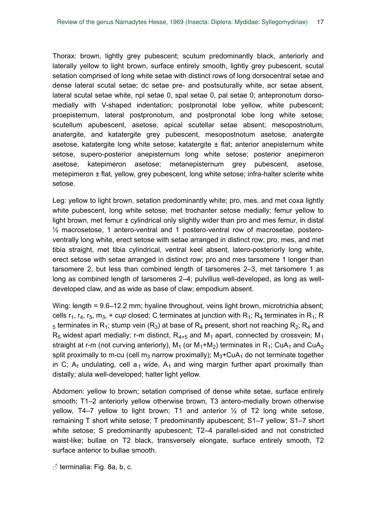Thorax: brown, lightly grey pubescent; scutum predominantly black, anteriorly and laterally yellow to light brown, surface entirely smooth, lightly grey pubescent, scutal setation comprised of long white setae with distinct rows of long dorsocentral setae and dense lateral scutal setae; dc setae pre- and postsuturally white, acr setae absent, lateral scutal setae white, npl setae 0, spal setae 0, pal setae 0; antepronotum dorsomedially with V-shaped indentation; postpronotal lobe yellow, white pubescent; proepisternum, lateral postpronotum, and postpronotal lobe long white setose; scutellum apubescent, asetose, apical scutellar setae absent; mesopostnotum, anatergite, and katatergite grey pubescent, mesopostnotum asetose, anatergite asetose, katatergite long white setose; katatergite  $\pm$  flat; anterior anepisternum white setose, supero-posterior anepisternum long white setose; posterior anepimeron asetose, katepimeron asetose; metanepisternum grey pubescent, asetose, metepimeron ± flat, yellow, grey pubescent, long white setose; infra-halter sclerite white setose.

Leg: yellow to light brown, setation predominantly white; pro, mes, and met coxa lightly white pubescent, long white setose; met trochanter setose medially; femur yellow to light brown, met femur ± cylindrical only slightly wider than pro and mes femur, in distal ½ macrosetose, 1 antero-ventral and 1 postero-ventral row of macrosetae, posteroventrally long white, erect setose with setae arranged in distinct row; pro, mes, and met tibia straight, met tibia cylindrical, ventral keel absent, latero-posteriorly long white, erect setose with setae arranged in distinct row; pro and mes tarsomere 1 longer than tarsomere 2, but less than combined length of tarsomeres 2–3, met tarsomere 1 as long as combined length of tarsomeres 2–4; pulvillus well-developed, as long as welldeveloped claw, and as wide as base of claw; empodium absent.

Wing: length = 9.6–12.2 mm; hyaline throughout, veins light brown, microtrichia absent; cells  $r_1$ ,  $r_4$ ,  $r_5$ ,  $m_3$ , + cup closed; C terminates at junction with  $R_1$ ;  $R_4$  terminates in  $R_1$ ; R  $_5$  terminates in R<sub>1</sub>; stump vein (R<sub>3</sub>) at base of R<sub>4</sub> present, short not reaching R<sub>2</sub>; R<sub>4</sub> and  $R_5$  widest apart medially; r-m distinct,  $R_{4+5}$  and  $M_1$  apart, connected by crossvein; M<sub>1</sub> straight at r-m (not curving anteriorly),  $M_1$  (or  $M_1+M_2$ ) terminates in  $R_1$ ; CuA<sub>1</sub> and CuA<sub>2</sub> split proximally to m-cu (cell m<sub>3</sub> narrow proximally);  $M_3+CuA_1$  do not terminate together in C; A<sub>1</sub> undulating, cell a<sub>1</sub> wide, A<sub>1</sub> and wing margin further apart proximally than distally; alula well-developed; halter light yellow.

Abdomen: yellow to brown; setation comprised of dense white setae, surface entirely smooth; T1–2 anteriorly yellow otherwise brown, T3 antero-medially brown otherwise yellow, T4–7 yellow to light brown; T1 and anterior  $\frac{1}{2}$  of T2 long white setose, remaining T short white setose; T predominantly apubescent; S1–7 yellow; S1–7 short white setose; S predominantly apubescent; T2–4 parallel-sided and not constricted waist-like; bullae on T2 black, transversely elongate, surface entirely smooth, T2 surface anterior to bullae smooth.

 $\beta$  terminalia: Fig. 8a, b, c.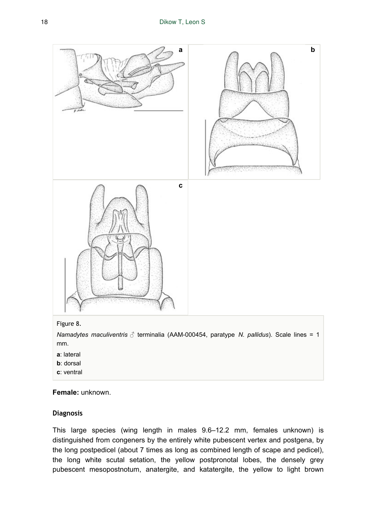![](_page_17_Figure_1.jpeg)

#### Figure 8.

*Namadytes maculiventris* ♂ terminalia (AAM-000454, paratype *N. pallidus*). Scale lines = 1 mm.

- **a**: lateral
- **b**: dorsal
- **c**: ventral

**Female:** unknown.

#### **Diagnosis**

This large species (wing length in males 9.6–12.2 mm, females unknown) is distinguished from congeners by the entirely white pubescent vertex and postgena, by the long postpedicel (about 7 times as long as combined length of scape and pedicel), the long white scutal setation, the yellow postpronotal lobes, the densely grey pubescent mesopostnotum, anatergite, and katatergite, the yellow to light brown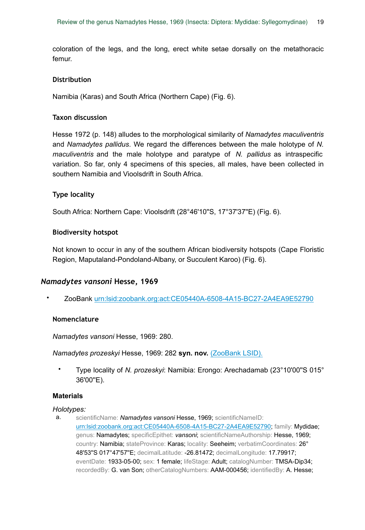coloration of the legs, and the long, erect white setae dorsally on the metathoracic femur.

#### **Distribution**

Namibia (Karas) and South Africa (Northern Cape) (Fig. 6).

### **Taxon discussion**

Hesse 1972 (p. 148) alludes to the morphological similarity of *Namadytes maculiventris* and *Namadytes pallidus*. We regard the differences between the male holotype of *N. maculiventris* and the male holotype and paratype of *N. pallidus* as intraspecific variation. So far, only 4 specimens of this species, all males, have been collected in southern Namibia and Vioolsdrift in South Africa.

### **Type locality**

South Africa: Northern Cape: Vioolsdrift (28°46'10''S, 17°37'37''E) (Fig. 6).

#### **Biodiversity hotspot**

Not known to occur in any of the southern African biodiversity hotspots (Cape Floristic Region, Maputaland-Pondoland-Albany, or Succulent Karoo) (Fig. 6).

### *Namadytes vansoni* **Hesse, 1969**

• ZooBank urn:lsid:zoobank.org:act:CE05440A-6508-4A15-BC27-2A4EA9E52790

### **Nomenclature**

*Namadytes vansoni* Hesse, 1969: 280.

*Namadytes prozeskyi* Hesse, 1969: 282 **syn. nov.** (ZooBank LSID).

• Type locality of *N. prozeskyi*: Namibia: Erongo: Arechadamab (23°10'00''S 015° 36'00"E).

#### **Materials**

*Holotypes:* 

a. scientificName: *Namadytes vansoni* Hesse, 1969; scientificNameID: urn:lsid:zoobank.org:act:CE05440A-6508-4A15-BC27-2A4EA9E52790; family: Mydidae; genus: Namadytes; specificEpithet: *vansoni*; scientificNameAuthorship: Hesse, 1969; country: Namibia; stateProvince: Karas; locality: Seeheim; verbatimCoordinates: 26° 48'53''S 017°47'57''E; decimalLatitude: -26.81472; decimalLongitude: 17.79917; eventDate: 1933-05-00; sex: 1 female; lifeStage: Adult; catalogNumber: TMSA-Dip34; recordedBy: G. van Son; otherCatalogNumbers: AAM-000456; identifiedBy: A. Hesse;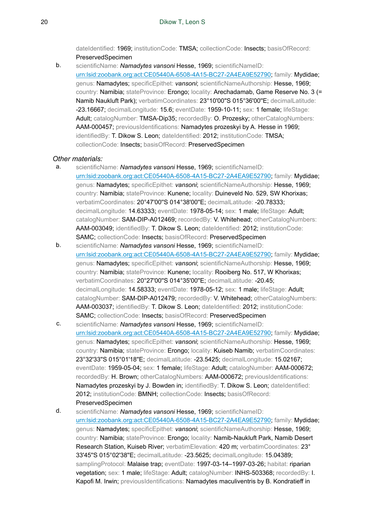dateIdentified: 1969; institutionCode: TMSA; collectionCode: Insects; basisOfRecord: PreservedSpecimen

b. scientificName: *Namadytes vansoni* Hesse, 1969; scientificNameID: urn:lsid:zoobank.org:act:CE05440A-6508-4A15-BC27-2A4EA9E52790; family: Mydidae; genus: Namadytes; specificEpithet: *vansoni*; scientificNameAuthorship: Hesse, 1969; country: Namibia; stateProvince: Erongo; locality: Arechadamab, Game Reserve No. 3 (= Namib Naukluft Park); verbatimCoordinates: 23°10'00''S 015°36'00''E; decimalLatitude: -23.16667; decimalLongitude: 15.6; eventDate: 1959-10-11; sex: 1 female; lifeStage: Adult: catalogNumber: TMSA-Dip35; recordedBy: O. Prozesky: otherCatalogNumbers: AAM-000457; previousIdentifications: Namadytes prozeskyi by A. Hesse in 1969; identifiedBy: T. Dikow S. Leon; dateIdentified: 2012; institutionCode: TMSA; collectionCode: Insects; basisOfRecord: PreservedSpecimen

#### *Other materials:*

- a. scientificName: *Namadytes vansoni* Hesse, 1969; scientificNameID: urn:lsid:zoobank.org:act:CE05440A-6508-4A15-BC27-2A4EA9E52790; family: Mydidae; genus: Namadytes; specificEpithet: *vansoni*; scientificNameAuthorship: Hesse, 1969; country: Namibia; stateProvince: Kunene; locality: Duineveld No. 529, SW Khorixas; verbatimCoordinates: 20°47'00"S 014°38'00"E; decimalLatitude: -20.78333; decimalLongitude: 14.63333; eventDate: 1978-05-14; sex: 1 male; lifeStage: Adult; catalogNumber: SAM-DIP-A012469; recordedBy: V. Whitehead; otherCatalogNumbers: AAM-003049; identifiedBy: T. Dikow S. Leon; dateIdentified: 2012; institutionCode: SAMC; collectionCode: Insects; basisOfRecord: PreservedSpecimen
- b. scientificName: *Namadytes vansoni* Hesse, 1969; scientificNameID: urn:lsid:zoobank.org:act:CE05440A-6508-4A15-BC27-2A4EA9E52790; family: Mydidae; genus: Namadytes; specificEpithet: *vansoni*; scientificNameAuthorship: Hesse, 1969; country: Namibia; stateProvince: Kunene; locality: Rooiberg No. 517, W Khorixas; verbatimCoordinates: 20°27'00''S 014°35'00''E; decimalLatitude: -20.45; decimalLongitude: 14.58333; eventDate: 1978-05-12; sex: 1 male; lifeStage: Adult; catalogNumber: SAM-DIP-A012479; recordedBy: V. Whitehead; otherCatalogNumbers: AAM-003037; identifiedBy: T. Dikow S. Leon; dateIdentified: 2012; institutionCode: SAMC; collectionCode: Insects; basisOfRecord: PreservedSpecimen
- c. scientificName: *Namadytes vansoni* Hesse, 1969; scientificNameID: urn:lsid:zoobank.org:act:CE05440A-6508-4A15-BC27-2A4EA9E52790; family: Mydidae; genus: Namadytes; specificEpithet: *vansoni*; scientificNameAuthorship: Hesse, 1969; country: Namibia; stateProvince: Erongo; locality: Kuiseb Namib; verbatimCoordinates: 23°32'33''S 015°01'18''E; decimalLatitude: -23.5425; decimalLongitude: 15.02167; eventDate: 1959-05-04; sex: 1 female; lifeStage: Adult; catalogNumber: AAM-000672; recordedBy: H. Brown; otherCatalogNumbers: AAM-000672; previousIdentifications: Namadytes prozeskyi by J. Bowden in; identifiedBy: T. Dikow S. Leon; dateIdentified: 2012; institutionCode: BMNH; collectionCode: Insects; basisOfRecord: PreservedSpecimen
- d. scientificName: *Namadytes vansoni* Hesse, 1969; scientificNameID: urn:lsid:zoobank.org:act:CE05440A-6508-4A15-BC27-2A4EA9E52790; family: Mydidae; genus: Namadytes; specificEpithet: *vansoni*; scientificNameAuthorship: Hesse, 1969; country: Namibia; stateProvince: Erongo; locality: Namib-Naukluft Park, Namib Desert Research Station, Kuiseb River; verbatimElevation: 420 m; verbatimCoordinates: 23° 33'45''S 015°02'38''E; decimalLatitude: -23.5625; decimalLongitude: 15.04389; samplingProtocol: Malaise trap; eventDate: 1997-03-14-1997-03-26; habitat: riparian vegetation; sex: 1 male; lifeStage: Adult; catalogNumber: INHS-503368; recordedBy: I. Kapofi M. Irwin; previousIdentifications: Namadytes maculiventris by B. Kondratieff in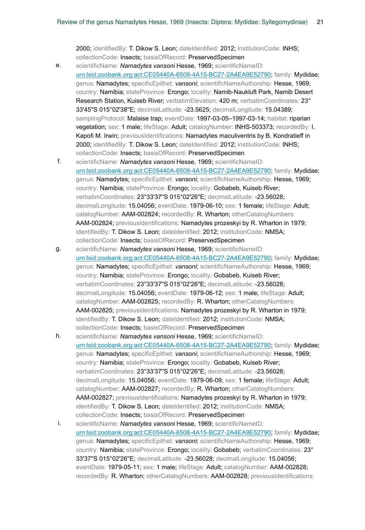2000; identifiedBy: T. Dikow S. Leon; dateIdentified: 2012; institutionCode: INHS; collectionCode: Insects; basisOfRecord: PreservedSpecimen

- e. scientificName: *Namadytes vansoni* Hesse, 1969; scientificNameID: urn:lsid:zoobank.org:act:CE05440A-6508-4A15-BC27-2A4EA9E52790; family: Mydidae; genus: Namadytes; specificEpithet: *vansoni*; scientificNameAuthorship: Hesse, 1969; country: Namibia; stateProvince: Erongo; locality: Namib-Naukluft Park, Namib Desert Research Station, Kuiseb River; verbatimElevation: 420 m; verbatimCoordinates: 23° 33'45''S 015°02'38''E; decimalLatitude: -23.5625; decimalLongitude: 15.04389; samplingProtocol: Malaise trap; eventDate: 1997-03-05–1997-03-14; habitat: riparian vegetation; sex: 1 male; lifeStage: Adult; catalogNumber: INHS-503373; recordedBy: I. Kapofi M. Irwin; previousIdentifications: Namadytes maculiventris by B. Kondratieff in 2000; identifiedBy: T. Dikow S. Leon; dateIdentified: 2012; institutionCode: INHS; collectionCode: Insects; basisOfRecord: PreservedSpecimen
- f. scientificName: *Namadytes vansoni* Hesse, 1969; scientificNameID: urn:lsid:zoobank.org:act:CE05440A-6508-4A15-BC27-2A4EA9E52790; family: Mydidae; genus: Namadytes; specificEpithet: *vansoni*; scientificNameAuthorship: Hesse, 1969; country: Namibia; stateProvince: Erongo; locality: Gobabeb, Kuiseb River; verbatimCoordinates: 23°33'37''S 015°02'26''E; decimalLatitude: -23.56028; decimalLongitude: 15.04056; eventDate: 1979-06-10; sex: 1 female; lifeStage: Adult; catalogNumber: AAM-002824; recordedBy: R. Wharton; otherCatalogNumbers: AAM-002824; previousIdentifications: Namadytes prozeskyi by R. Wharton in 1979; identifiedBy: T. Dikow S. Leon; dateIdentified: 2012; institutionCode: NMSA; collectionCode: Insects; basisOfRecord: PreservedSpecimen
- g. scientificName: *Namadytes vansoni* Hesse, 1969; scientificNameID: urn:lsid:zoobank.org:act:CE05440A-6508-4A15-BC27-2A4EA9E52790; family: Mydidae; genus: Namadytes; specificEpithet: *vansoni*; scientificNameAuthorship: Hesse, 1969; country: Namibia; stateProvince: Erongo; locality: Gobabeb, Kuiseb River; verbatimCoordinates: 23°33'37''S 015°02'26''E; decimalLatitude: -23.56028; decimalLongitude: 15.04056; eventDate: 1979-06-12; sex: 1 male; lifeStage: Adult; catalogNumber: AAM-002825; recordedBy: R. Wharton; otherCatalogNumbers: AAM-002825; previousIdentifications: Namadytes prozeskyi by R. Wharton in 1979; identifiedBy: T. Dikow S. Leon; dateIdentified: 2012; institutionCode: NMSA; collectionCode: Insects; basisOfRecord: PreservedSpecimen
- h. scientificName: *Namadytes vansoni* Hesse, 1969; scientificNameID: urn:lsid:zoobank.org:act:CE05440A-6508-4A15-BC27-2A4EA9E52790; family: Mydidae; genus: Namadytes; specificEpithet: *vansoni*; scientificNameAuthorship: Hesse, 1969; country: Namibia; stateProvince: Erongo; locality: Gobabeb, Kuiseb River; verbatimCoordinates: 23°33'37''S 015°02'26''E; decimalLatitude: -23.56028; decimalLongitude: 15.04056; eventDate: 1979-06-09; sex: 1 female; lifeStage: Adult; catalogNumber: AAM-002827; recordedBy: R. Wharton; otherCatalogNumbers: AAM-002827; previousIdentifications: Namadytes prozeskyi by R. Wharton in 1979; identifiedBy: T. Dikow S. Leon; dateIdentified: 2012; institutionCode: NMSA; collectionCode: Insects; basisOfRecord: PreservedSpecimen
- i. scientificName: *Namadytes vansoni* Hesse, 1969; scientificNameID: urn:lsid:zoobank.org:act:CE05440A-6508-4A15-BC27-2A4EA9E52790; family: Mydidae; genus: Namadytes; specificEpithet: *vansoni*; scientificNameAuthorship: Hesse, 1969; country: Namibia; stateProvince: Erongo; locality: Gobabeb; verbatimCoordinates: 23° 33'37''S 015°02'26''E; decimalLatitude: -23.56028; decimalLongitude: 15.04056; eventDate: 1979-05-11; sex: 1 male; lifeStage: Adult; catalogNumber: AAM-002828; recordedBy: R. Wharton; otherCatalogNumbers: AAM-002828; previousIdentifications: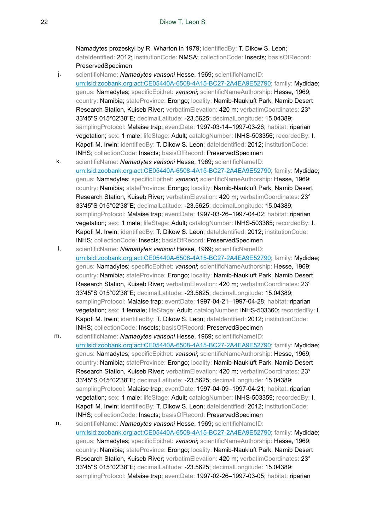Namadytes prozeskyi by R. Wharton in 1979; identifiedBy: T. Dikow S. Leon; dateIdentified: 2012; institutionCode: NMSA; collectionCode: Insects; basisOfRecord: PreservedSpecimen

- j. scientificName: *Namadytes vansoni* Hesse, 1969; scientificNameID: urn:lsid:zoobank.org:act:CE05440A-6508-4A15-BC27-2A4EA9E52790; family: Mydidae; genus: Namadytes; specificEpithet: *vansoni*; scientificNameAuthorship: Hesse, 1969; country: Namibia; stateProvince: Erongo; locality: Namib-Naukluft Park, Namib Desert Research Station, Kuiseb River; verbatimElevation: 420 m; verbatimCoordinates: 23° 33'45''S 015°02'38''E; decimalLatitude: -23.5625; decimalLongitude: 15.04389; samplingProtocol: Malaise trap; eventDate: 1997-03-14–1997-03-26; habitat: riparian vegetation; sex: 1 male; lifeStage: Adult; catalogNumber: INHS-503356; recordedBy: I. Kapofi M. Irwin; identifiedBy: T. Dikow S. Leon; dateIdentified: 2012; institutionCode: INHS; collectionCode: Insects; basisOfRecord: PreservedSpecimen
- k. scientificName: *Namadytes vansoni* Hesse, 1969; scientificNameID: urn:lsid:zoobank.org:act:CE05440A-6508-4A15-BC27-2A4EA9E52790; family: Mydidae; genus: Namadytes; specificEpithet: *vansoni*; scientificNameAuthorship: Hesse, 1969; country: Namibia; stateProvince: Erongo; locality: Namib-Naukluft Park, Namib Desert Research Station, Kuiseb River; verbatimElevation: 420 m; verbatimCoordinates: 23° 33'45''S 015°02'38''E; decimalLatitude: -23.5625; decimalLongitude: 15.04389; samplingProtocol: Malaise trap; eventDate: 1997-03-26-1997-04-02; habitat: riparian vegetation; sex: 1 male; lifeStage: Adult; catalogNumber: INHS-503365; recordedBy: I. Kapofi M. Irwin; identifiedBy: T. Dikow S. Leon; dateIdentified: 2012; institutionCode: INHS; collectionCode: Insects; basisOfRecord: PreservedSpecimen
- l. scientificName: *Namadytes vansoni* Hesse, 1969; scientificNameID: urn:lsid:zoobank.org:act:CE05440A-6508-4A15-BC27-2A4EA9E52790; family: Mydidae; genus: Namadytes; specificEpithet: *vansoni*; scientificNameAuthorship: Hesse, 1969; country: Namibia; stateProvince: Erongo; locality: Namib-Naukluft Park, Namib Desert Research Station, Kuiseb River; verbatimElevation: 420 m; verbatimCoordinates: 23° 33'45''S 015°02'38''E; decimalLatitude: -23.5625; decimalLongitude: 15.04389; samplingProtocol: Malaise trap; eventDate: 1997-04-21-1997-04-28; habitat: riparian vegetation; sex: 1 female; lifeStage: Adult; catalogNumber: INHS-503360; recordedBy: I. Kapofi M. Irwin; identifiedBy: T. Dikow S. Leon; dateIdentified: 2012; institutionCode: INHS; collectionCode: Insects; basisOfRecord: PreservedSpecimen
- m. scientificName: *Namadytes vansoni* Hesse, 1969; scientificNameID: urn:lsid:zoobank.org:act:CE05440A-6508-4A15-BC27-2A4EA9E52790; family: Mydidae; genus: Namadytes; specificEpithet: *vansoni*; scientificNameAuthorship: Hesse, 1969; country: Namibia; stateProvince: Erongo; locality: Namib-Naukluft Park, Namib Desert Research Station, Kuiseb River; verbatimElevation: 420 m; verbatimCoordinates: 23° 33'45''S 015°02'38''E; decimalLatitude: -23.5625; decimalLongitude: 15.04389; samplingProtocol: Malaise trap; eventDate: 1997-04-09-1997-04-21; habitat: riparian vegetation; sex: 1 male; lifeStage: Adult; catalogNumber: INHS-503359; recordedBy: I. Kapofi M. Irwin; identifiedBy: T. Dikow S. Leon; dateIdentified: 2012; institutionCode: INHS; collectionCode: Insects; basisOfRecord: PreservedSpecimen
- n. scientificName: *Namadytes vansoni* Hesse, 1969; scientificNameID: urn:lsid:zoobank.org:act:CE05440A-6508-4A15-BC27-2A4EA9E52790; family: Mydidae; genus: Namadytes; specificEpithet: *vansoni*; scientificNameAuthorship: Hesse, 1969; country: Namibia; stateProvince: Erongo; locality: Namib-Naukluft Park, Namib Desert Research Station, Kuiseb River; verbatimElevation: 420 m; verbatimCoordinates: 23° 33'45''S 015°02'38''E; decimalLatitude: -23.5625; decimalLongitude: 15.04389; samplingProtocol: Malaise trap; eventDate: 1997-02-26-1997-03-05; habitat: riparian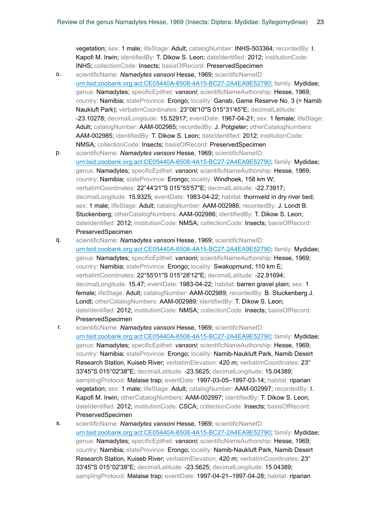vegetation; sex: 1 male; lifeStage: Adult; catalogNumber: INHS-503364; recordedBy: I. Kapofi M. Irwin; identifiedBy: T. Dikow S. Leon; dateIdentified: 2012; institutionCode: INHS; collectionCode: Insects; basisOfRecord: PreservedSpecimen

- o. scientificName: *Namadytes vansoni* Hesse, 1969; scientificNameID: urn:lsid:zoobank.org:act:CE05440A-6508-4A15-BC27-2A4EA9E52790; family: Mydidae; genus: Namadytes; specificEpithet: *vansoni*; scientificNameAuthorship: Hesse, 1969; country: Namibia; stateProvince: Erongo; locality: Ganab, Game Reserve No. 3 (= Namib Naukluft Park); verbatimCoordinates: 23°06'10''S 015°31'45''E; decimalLatitude: -23.10278; decimalLongitude: 15.52917; eventDate: 1967-04-21; sex: 1 female; lifeStage: Adult: catalogNumber: AAM-002985; recordedBy: J. Potgieter: otherCatalogNumbers: AAM-002985; identifiedBy: T. Dikow S. Leon; dateIdentified: 2012; institutionCode: NMSA; collectionCode: Insects; basisOfRecord: PreservedSpecimen
- p. scientificName: *Namadytes vansoni* Hesse, 1969; scientificNameID: urn:lsid:zoobank.org:act:CE05440A-6508-4A15-BC27-2A4EA9E52790; family: Mydidae; genus: Namadytes; specificEpithet: *vansoni*; scientificNameAuthorship: Hesse, 1969; country: Namibia; stateProvince: Erongo; locality: Windhoek, 158 km W; verbatimCoordinates: 22°44'21''S 015°55'57''E; decimalLatitude: -22.73917; decimalLongitude: 15.9325; eventDate: 1983-04-22; habitat: thornveld in dry river bed; sex: 1 male; lifeStage: Adult; catalogNumber: AAM-002986; recordedBy: J. Londt B. Stuckenberg; otherCatalogNumbers: AAM-002986; identifiedBy: T. Dikow S. Leon; dateIdentified: 2012; institutionCode: NMSA; collectionCode: Insects; basisOfRecord: PreservedSpecimen
- q. scientificName: *Namadytes vansoni* Hesse, 1969; scientificNameID: urn:lsid:zoobank.org:act:CE05440A-6508-4A15-BC27-2A4EA9E52790; family: Mydidae; genus: Namadytes; specificEpithet: *vansoni*; scientificNameAuthorship: Hesse, 1969; country: Namibia; stateProvince: Erongo; locality: Swakopmund, 110 km E; verbatimCoordinates: 22°55'01''S 015°28'12''E; decimalLatitude: -22.91694; decimalLongitude: 15.47; eventDate: 1983-04-22; habitat: barren gravel plain; sex: 1 female; lifeStage: Adult; catalogNumber: AAM-002989; recordedBy: B. Stuckenberg J. Londt; otherCatalogNumbers: AAM-002989; identifiedBy: T. Dikow S. Leon; dateIdentified: 2012; institutionCode: NMSA; collectionCode: Insects; basisOfRecord: PreservedSpecimen
- r. scientificName: *Namadytes vansoni* Hesse, 1969; scientificNameID: urn:lsid:zoobank.org:act:CE05440A-6508-4A15-BC27-2A4EA9E52790; family: Mydidae; genus: Namadytes; specificEpithet: *vansoni*; scientificNameAuthorship: Hesse, 1969; country: Namibia; stateProvince: Erongo; locality: Namib-Naukluft Park, Namib Desert Research Station, Kuiseb River; verbatimElevation: 420 m; verbatimCoordinates: 23° 33'45''S 015°02'38''E; decimalLatitude: -23.5625; decimalLongitude: 15.04389; samplingProtocol: Malaise trap; eventDate: 1997-03-05-1997-03-14; habitat: riparian vegetation; sex: 1 male; lifeStage: Adult; catalogNumber: AAM-002997; recordedBy: I. Kapofi M. Irwin; otherCatalogNumbers: AAM-002997; identifiedBy: T. Dikow S. Leon; dateIdentified: 2012; institutionCode: CSCA; collectionCode: Insects; basisOfRecord: PreservedSpecimen
- s. scientificName: *Namadytes vansoni* Hesse, 1969; scientificNameID: urn:lsid:zoobank.org:act:CE05440A-6508-4A15-BC27-2A4EA9E52790; family: Mydidae; genus: Namadytes; specificEpithet: *vansoni*; scientificNameAuthorship: Hesse, 1969; country: Namibia; stateProvince: Erongo; locality: Namib-Naukluft Park, Namib Desert Research Station, Kuiseb River; verbatimElevation: 420 m; verbatimCoordinates: 23° 33'45''S 015°02'38''E; decimalLatitude: -23.5625; decimalLongitude: 15.04389; samplingProtocol: Malaise trap; eventDate: 1997-04-21-1997-04-28; habitat: riparian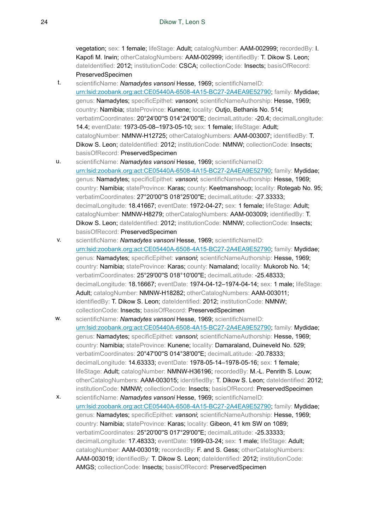vegetation; sex: 1 female; lifeStage: Adult; catalogNumber: AAM-002999; recordedBy: I. Kapofi M. Irwin; otherCatalogNumbers: AAM-002999; identifiedBy: T. Dikow S. Leon; dateIdentified: 2012; institutionCode: CSCA; collectionCode: Insects; basisOfRecord: PreservedSpecimen

- t. scientificName: *Namadytes vansoni* Hesse, 1969; scientificNameID: urn:lsid:zoobank.org:act:CE05440A-6508-4A15-BC27-2A4EA9E52790; family: Mydidae; genus: Namadytes; specificEpithet: *vansoni*; scientificNameAuthorship: Hesse, 1969; country: Namibia; stateProvince: Kunene; locality: Outjo, Bethanis No. 514; verbatimCoordinates: 20°24'00''S 014°24'00''E; decimalLatitude: -20.4; decimalLongitude: 14.4; eventDate: 1973-05-08–1973-05-10; sex: 1 female; lifeStage: Adult; catalogNumber: NMNW-H12725; otherCatalogNumbers: AAM-003007; identifiedBy: T. Dikow S. Leon; dateIdentified: 2012; institutionCode: NMNW; collectionCode: Insects; basisOfRecord: PreservedSpecimen
- u. scientificName: *Namadytes vansoni* Hesse, 1969; scientificNameID: urn:lsid:zoobank.org:act:CE05440A-6508-4A15-BC27-2A4EA9E52790; family: Mydidae; genus: Namadytes; specificEpithet: *vansoni*; scientificNameAuthorship: Hesse, 1969; country: Namibia; stateProvince: Karas; county: Keetmanshoop; locality: Rotegab No. 95; verbatimCoordinates: 27°20'00''S 018°25'00''E; decimalLatitude: -27.33333; decimalLongitude: 18.41667; eventDate: 1972-04-27; sex: 1 female; lifeStage: Adult; catalogNumber: NMNW-H8279; otherCatalogNumbers: AAM-003009; identifiedBy: T. Dikow S. Leon; dateIdentified: 2012; institutionCode: NMNW; collectionCode: Insects; basisOfRecord: PreservedSpecimen
- v. scientificName: *Namadytes vansoni* Hesse, 1969; scientificNameID: urn:lsid:zoobank.org:act:CE05440A-6508-4A15-BC27-2A4EA9E52790; family: Mydidae; genus: Namadytes; specificEpithet: *vansoni*; scientificNameAuthorship: Hesse, 1969; country: Namibia; stateProvince: Karas; county: Namaland; locality: Mukorob No. 14; verbatimCoordinates: 25°29'00''S 018°10'00''E; decimalLatitude: -25.48333; decimalLongitude: 18.16667; eventDate: 1974-04-12–1974-04-14; sex: 1 male; lifeStage: Adult; catalogNumber: NMNW-H18282; otherCatalogNumbers: AAM-003011; identifiedBy: T. Dikow S. Leon; dateIdentified: 2012; institutionCode: NMNW; collectionCode: Insects; basisOfRecord: PreservedSpecimen
- w. scientificName: *Namadytes vansoni* Hesse, 1969; scientificNameID: urn:lsid:zoobank.org:act:CE05440A-6508-4A15-BC27-2A4EA9E52790; family: Mydidae; genus: Namadytes; specificEpithet: *vansoni*; scientificNameAuthorship: Hesse, 1969; country: Namibia; stateProvince: Kunene; locality: Damaraland, Duineveld No. 529; verbatimCoordinates: 20°47'00"S 014°38'00"E; decimalLatitude: -20.78333; decimalLongitude: 14.63333; eventDate: 1978-05-14–1978-05-16; sex: 1 female; lifeStage: Adult; catalogNumber: NMNW-H36196; recordedBy: M.-L. Penrith S. Louw; otherCatalogNumbers: AAM-003015; identifiedBy: T. Dikow S. Leon; dateIdentified: 2012; institutionCode: NMNW; collectionCode: Insects; basisOfRecord: PreservedSpecimen
- x. scientificName: *Namadytes vansoni* Hesse, 1969; scientificNameID: urn:lsid:zoobank.org:act:CE05440A-6508-4A15-BC27-2A4EA9E52790; family: Mydidae; genus: Namadytes; specificEpithet: *vansoni*; scientificNameAuthorship: Hesse, 1969; country: Namibia; stateProvince: Karas; locality: Gibeon, 41 km SW on 1089; verbatimCoordinates: 25°20'00"S 017°29'00"E; decimalLatitude: -25.33333; decimalLongitude: 17.48333; eventDate: 1999-03-24; sex: 1 male; lifeStage: Adult; catalogNumber: AAM-003019; recordedBy: F. and S. Gess; otherCatalogNumbers: AAM-003019; identifiedBy: T. Dikow S. Leon; dateIdentified: 2012; institutionCode: AMGS; collectionCode: Insects; basisOfRecord: PreservedSpecimen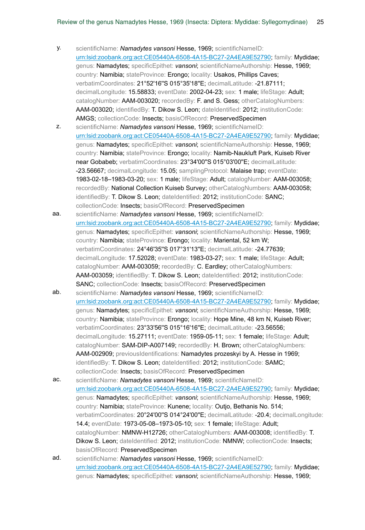- y. scientificName: *Namadytes vansoni* Hesse, 1969; scientificNameID: urn:lsid:zoobank.org:act:CE05440A-6508-4A15-BC27-2A4EA9E52790; family: Mydidae; genus: Namadytes; specificEpithet: *vansoni*; scientificNameAuthorship: Hesse, 1969; country: Namibia; stateProvince: Erongo; locality: Usakos, Phillips Caves; verbatimCoordinates: 21°52'16''S 015°35'18''E; decimalLatitude: -21.87111; decimalLongitude: 15.58833; eventDate: 2002-04-23; sex: 1 male; lifeStage: Adult; catalogNumber: AAM-003020; recordedBy: F. and S. Gess; otherCatalogNumbers: AAM-003020; identifiedBy: T. Dikow S. Leon; dateIdentified: 2012; institutionCode: AMGS; collectionCode: Insects; basisOfRecord: PreservedSpecimen
- z. scientificName: *Namadytes vansoni* Hesse, 1969; scientificNameID: urn:lsid:zoobank.org:act:CE05440A-6508-4A15-BC27-2A4EA9E52790; family: Mydidae; genus: Namadytes; specificEpithet: *vansoni*; scientificNameAuthorship: Hesse, 1969; country: Namibia; stateProvince: Erongo; locality: Namib-Naukluft Park, Kuiseb River near Gobabeb; verbatimCoordinates: 23°34'00"S 015°03'00"E; decimalLatitude: -23.56667; decimalLongitude: 15.05; samplingProtocol: Malaise trap; eventDate: 1983-02-18–1983-03-20; sex: 1 male; lifeStage: Adult; catalogNumber: AAM-003058; recordedBy: National Collection Kuiseb Survey; otherCatalogNumbers: AAM-003058; identifiedBy: T. Dikow S. Leon; dateIdentified: 2012; institutionCode: SANC; collectionCode: Insects; basisOfRecord: PreservedSpecimen
- aa. scientificName: *Namadytes vansoni* Hesse, 1969; scientificNameID: urn:lsid:zoobank.org:act:CE05440A-6508-4A15-BC27-2A4EA9E52790; family: Mydidae; genus: Namadytes; specificEpithet: *vansoni*; scientificNameAuthorship: Hesse, 1969; country: Namibia; stateProvince: Erongo; locality: Mariental, 52 km W; verbatimCoordinates: 24°46'35''S 017°31'13''E; decimalLatitude: -24.77639; decimalLongitude: 17.52028; eventDate: 1983-03-27; sex: 1 male; lifeStage: Adult; catalogNumber: AAM-003059; recordedBy: C. Eardley; otherCatalogNumbers: AAM-003059; identifiedBy: T. Dikow S. Leon; dateIdentified: 2012; institutionCode: SANC; collectionCode: Insects; basisOfRecord: PreservedSpecimen
- ab. scientificName: *Namadytes vansoni* Hesse, 1969; scientificNameID: urn:lsid:zoobank.org:act:CE05440A-6508-4A15-BC27-2A4EA9E52790; family: Mydidae; genus: Namadytes; specificEpithet: *vansoni*; scientificNameAuthorship: Hesse, 1969; country: Namibia; stateProvince: Erongo; locality: Hope Mine, 48 km N, Kuiseb River; verbatimCoordinates: 23°33'56''S 015°16'16''E; decimalLatitude: -23.56556; decimalLongitude: 15.27111; eventDate: 1959-05-11; sex: 1 female; lifeStage: Adult; catalogNumber: SAM-DIP-A007149; recordedBy: H. Brown; otherCatalogNumbers: AAM-002909; previousIdentifications: Namadytes prozeskyi by A. Hesse in 1969; identifiedBy: T. Dikow S. Leon; dateIdentified: 2012; institutionCode: SAMC; collectionCode: Insects; basisOfRecord: PreservedSpecimen
- ac. scientificName: *Namadytes vansoni* Hesse, 1969; scientificNameID: urn:lsid:zoobank.org:act:CE05440A-6508-4A15-BC27-2A4EA9E52790; family: Mydidae; genus: Namadytes; specificEpithet: *vansoni*; scientificNameAuthorship: Hesse, 1969; country: Namibia; stateProvince: Kunene; locality: Outjo, Bethanis No. 514; verbatimCoordinates: 20°24'00''S 014°24'00''E; decimalLatitude: -20.4; decimalLongitude: 14.4; eventDate: 1973-05-08–1973-05-10; sex: 1 female; lifeStage: Adult; catalogNumber: NMNW-H12726; otherCatalogNumbers: AAM-003008; identifiedBy: T. Dikow S. Leon; dateIdentified: 2012; institutionCode: NMNW; collectionCode: Insects; basisOfRecord: PreservedSpecimen
- ad. scientificName: *Namadytes vansoni* Hesse, 1969; scientificNameID: urn:lsid:zoobank.org:act:CE05440A-6508-4A15-BC27-2A4EA9E52790; family: Mydidae; genus: Namadytes; specificEpithet: *vansoni*; scientificNameAuthorship: Hesse, 1969;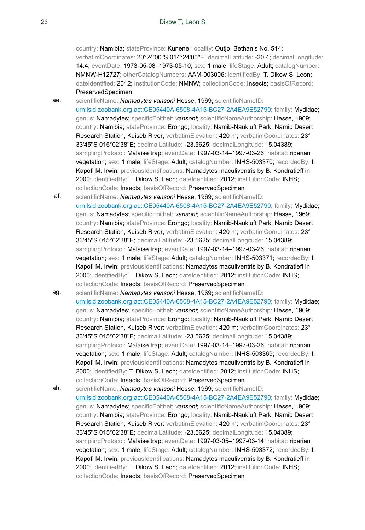country: Namibia; stateProvince: Kunene; locality: Outjo, Bethanis No. 514; verbatimCoordinates: 20°24'00''S 014°24'00''E; decimalLatitude: -20.4; decimalLongitude: 14.4; eventDate: 1973-05-08–1973-05-10; sex: 1 male; lifeStage: Adult; catalogNumber: NMNW-H12727; otherCatalogNumbers: AAM-003006; identifiedBy: T. Dikow S. Leon; dateIdentified: 2012; institutionCode: NMNW; collectionCode: Insects; basisOfRecord: PreservedSpecimen

ae. scientificName: *Namadytes vansoni* Hesse, 1969; scientificNameID: urn:lsid:zoobank.org:act:CE05440A-6508-4A15-BC27-2A4EA9E52790; family: Mydidae; genus: Namadytes; specificEpithet: *vansoni*; scientificNameAuthorship: Hesse, 1969; country: Namibia; stateProvince: Erongo; locality: Namib-Naukluft Park, Namib Desert Research Station, Kuiseb River; verbatimElevation: 420 m; verbatimCoordinates: 23° 33'45''S 015°02'38''E; decimalLatitude: -23.5625; decimalLongitude: 15.04389; samplingProtocol: Malaise trap; eventDate: 1997-03-14-1997-03-26; habitat: riparian vegetation; sex: 1 male; lifeStage: Adult; catalogNumber: INHS-503370; recordedBy: I. Kapofi M. Irwin; previousIdentifications: Namadytes maculiventris by B. Kondratieff in 2000; identifiedBy: T. Dikow S. Leon; dateIdentified: 2012; institutionCode: INHS; collectionCode: Insects; basisOfRecord: PreservedSpecimen

- af. scientificName: *Namadytes vansoni* Hesse, 1969; scientificNameID: urn:lsid:zoobank.org:act:CE05440A-6508-4A15-BC27-2A4EA9E52790; family: Mydidae; genus: Namadytes; specificEpithet: *vansoni*; scientificNameAuthorship: Hesse, 1969; country: Namibia; stateProvince: Erongo; locality: Namib-Naukluft Park, Namib Desert Research Station, Kuiseb River; verbatimElevation: 420 m; verbatimCoordinates: 23° 33'45''S 015°02'38''E; decimalLatitude: -23.5625; decimalLongitude: 15.04389; samplingProtocol: Malaise trap; eventDate: 1997-03-14-1997-03-26; habitat: riparian vegetation; sex: 1 male; lifeStage: Adult; catalogNumber: INHS-503371; recordedBy: I. Kapofi M. Irwin; previousIdentifications: Namadytes maculiventris by B. Kondratieff in 2000; identifiedBy: T. Dikow S. Leon; dateIdentified: 2012; institutionCode: INHS; collectionCode: Insects; basisOfRecord: PreservedSpecimen
- ag. scientificName: **Namadytes vansoni Hesse, 1969**; scientificNameID: urn:lsid:zoobank.org:act:CE05440A-6508-4A15-BC27-2A4EA9E52790; family: Mydidae; genus: Namadytes; specificEpithet: *vansoni*; scientificNameAuthorship: Hesse, 1969; country: Namibia; stateProvince: Erongo; locality: Namib-Naukluft Park, Namib Desert Research Station, Kuiseb River; verbatimElevation: 420 m; verbatimCoordinates: 23° 33'45''S 015°02'38''E; decimalLatitude: -23.5625; decimalLongitude: 15.04389; samplingProtocol: Malaise trap; eventDate: 1997-03-14-1997-03-26; habitat: riparian vegetation; sex: 1 male; lifeStage: Adult; catalogNumber: INHS-503369; recordedBy: I. Kapofi M. Irwin; previousIdentifications: Namadytes maculiventris by B. Kondratieff in 2000; identifiedBy: T. Dikow S. Leon; dateIdentified: 2012; institutionCode: INHS; collectionCode: Insects; basisOfRecord: PreservedSpecimen
- ah. scientificName: *Namadytes vansoni* Hesse, 1969; scientificNameID: urn:lsid:zoobank.org:act:CE05440A-6508-4A15-BC27-2A4EA9E52790; family: Mydidae; genus: Namadytes; specificEpithet: *vansoni*; scientificNameAuthorship: Hesse, 1969; country: Namibia; stateProvince: Erongo; locality: Namib-Naukluft Park, Namib Desert Research Station, Kuiseb River; verbatimElevation: 420 m; verbatimCoordinates: 23° 33'45''S 015°02'38''E; decimalLatitude: -23.5625; decimalLongitude: 15.04389; samplingProtocol: Malaise trap; eventDate: 1997-03-05-1997-03-14; habitat: riparian vegetation; sex: 1 male; lifeStage: Adult; catalogNumber: INHS-503372; recordedBy: I. Kapofi M. Irwin; previousIdentifications: Namadytes maculiventris by B. Kondratieff in 2000; identifiedBy: T. Dikow S. Leon; dateIdentified: 2012; institutionCode: INHS; collectionCode: Insects; basisOfRecord: PreservedSpecimen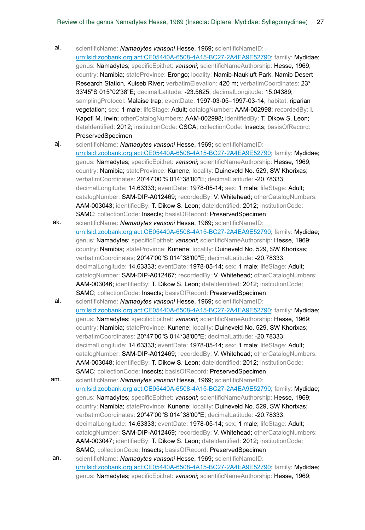- ai. scientificName: *Namadytes vansoni* Hesse, 1969; scientificNameID: urn:lsid:zoobank.org:act:CE05440A-6508-4A15-BC27-2A4EA9E52790; family: Mydidae; genus: Namadytes; specificEpithet: *vansoni*; scientificNameAuthorship: Hesse, 1969; country: Namibia; stateProvince: Erongo; locality: Namib-Naukluft Park, Namib Desert Research Station, Kuiseb River; verbatimElevation: 420 m; verbatimCoordinates: 23° 33'45''S 015°02'38''E; decimalLatitude: -23.5625; decimalLongitude: 15.04389; samplingProtocol: Malaise trap; eventDate: 1997-03-05–1997-03-14; habitat: riparian vegetation; sex: 1 male; lifeStage: Adult; catalogNumber: AAM-002998; recordedBy: I. Kapofi M. Irwin; otherCatalogNumbers: AAM-002998; identifiedBy: T. Dikow S. Leon; dateIdentified: 2012; institutionCode: CSCA; collectionCode: Insects; basisOfRecord: PreservedSpecimen
- aj. scientificName: *Namadytes vansoni* Hesse, 1969; scientificNameID: urn:lsid:zoobank.org:act:CE05440A-6508-4A15-BC27-2A4EA9E52790; family: Mydidae; genus: Namadytes; specificEpithet: *vansoni*; scientificNameAuthorship: Hesse, 1969; country: Namibia; stateProvince: Kunene; locality: Duineveld No. 529, SW Khorixas; verbatimCoordinates: 20°47'00"S 014°38'00"E; decimalLatitude: -20.78333; decimalLongitude: 14.63333; eventDate: 1978-05-14; sex: 1 male; lifeStage: Adult; catalogNumber: SAM-DIP-A012469; recordedBy: V. Whitehead; otherCatalogNumbers: AAM-003043; identifiedBy: T. Dikow S. Leon; dateIdentified: 2012; institutionCode: SAMC; collectionCode: Insects; basisOfRecord: PreservedSpecimen
- ak. scientificName: *Namadytes vansoni* Hesse, 1969; scientificNameID: urn:lsid:zoobank.org:act:CE05440A-6508-4A15-BC27-2A4EA9E52790; family: Mydidae; genus: Namadytes; specificEpithet: *vansoni*; scientificNameAuthorship: Hesse, 1969; country: Namibia; stateProvince: Kunene; locality: Duineveld No. 529, SW Khorixas; verbatimCoordinates: 20°47'00"S 014°38'00"E; decimalLatitude: -20.78333; decimalLongitude: 14.63333; eventDate: 1978-05-14; sex: 1 male; lifeStage: Adult; catalogNumber: SAM-DIP-A012467; recordedBy: V. Whitehead; otherCatalogNumbers: AAM-003046; identifiedBy: T. Dikow S. Leon; dateIdentified: 2012; institutionCode: SAMC; collectionCode: Insects; basisOfRecord: PreservedSpecimen
- al. scientificName: *Namadytes vansoni* Hesse, 1969; scientificNameID: urn:lsid:zoobank.org:act:CE05440A-6508-4A15-BC27-2A4EA9E52790; family: Mydidae; genus: Namadytes; specificEpithet: *vansoni*; scientificNameAuthorship: Hesse, 1969; country: Namibia; stateProvince: Kunene; locality: Duineveld No. 529, SW Khorixas; verbatimCoordinates: 20°47'00"S 014°38'00"E; decimalLatitude: -20.78333; decimalLongitude: 14.63333; eventDate: 1978-05-14; sex: 1 male; lifeStage: Adult; catalogNumber: SAM-DIP-A012469; recordedBy: V. Whitehead; otherCatalogNumbers: AAM-003048; identifiedBy: T. Dikow S. Leon; dateIdentified: 2012; institutionCode: SAMC; collectionCode: Insects; basisOfRecord: PreservedSpecimen
- am. scientificName: *Namadytes vansoni* Hesse, 1969; scientificNameID: urn:lsid:zoobank.org:act:CE05440A-6508-4A15-BC27-2A4EA9E52790; family: Mydidae; genus: Namadytes; specificEpithet: *vansoni*; scientificNameAuthorship: Hesse, 1969; country: Namibia; stateProvince: Kunene; locality: Duineveld No. 529, SW Khorixas; verbatimCoordinates: 20°47'00"S 014°38'00"E; decimalLatitude: -20.78333; decimalLongitude: 14.63333; eventDate: 1978-05-14; sex: 1 male; lifeStage: Adult; catalogNumber: SAM-DIP-A012469; recordedBy: V. Whitehead; otherCatalogNumbers: AAM-003047; identifiedBy: T. Dikow S. Leon; dateIdentified: 2012; institutionCode: SAMC; collectionCode: Insects; basisOfRecord: PreservedSpecimen an. scientificName: *Namadytes vansoni* Hesse, 1969; scientificNameID:
	- urn:lsid:zoobank.org:act:CE05440A-6508-4A15-BC27-2A4EA9E52790; family: Mydidae; genus: Namadytes; specificEpithet: *vansoni*; scientificNameAuthorship: Hesse, 1969;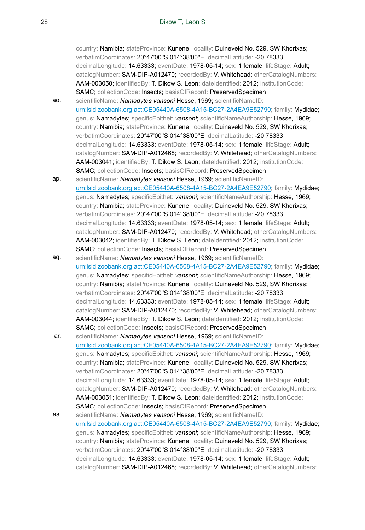country: Namibia; stateProvince: Kunene; locality: Duineveld No. 529, SW Khorixas; verbatimCoordinates: 20°47'00"S 014°38'00"E; decimalLatitude: -20.78333; decimalLongitude: 14.63333; eventDate: 1978-05-14; sex: 1 female; lifeStage: Adult; catalogNumber: SAM-DIP-A012470; recordedBy: V. Whitehead; otherCatalogNumbers: AAM-003050; identifiedBy: T. Dikow S. Leon; dateIdentified: 2012; institutionCode: SAMC; collectionCode: Insects; basisOfRecord: PreservedSpecimen

ao. scientificName: *Namadytes vansoni* Hesse, 1969; scientificNameID: urn:lsid:zoobank.org:act:CE05440A-6508-4A15-BC27-2A4EA9E52790; family: Mydidae; genus: Namadytes; specificEpithet: *vansoni*; scientificNameAuthorship: Hesse, 1969; country: Namibia; stateProvince: Kunene; locality: Duineveld No. 529, SW Khorixas; verbatimCoordinates: 20°47'00"S 014°38'00"E; decimalLatitude: -20.78333; decimalLongitude: 14.63333; eventDate: 1978-05-14; sex: 1 female; lifeStage: Adult; catalogNumber: SAM-DIP-A012468; recordedBy: V. Whitehead; otherCatalogNumbers: AAM-003041; identifiedBy: T. Dikow S. Leon; dateIdentified: 2012; institutionCode: SAMC; collectionCode: Insects; basisOfRecord: PreservedSpecimen

- ap. scientificName: *Namadytes vansoni* Hesse, 1969; scientificNameID: urn:lsid:zoobank.org:act:CE05440A-6508-4A15-BC27-2A4EA9E52790; family: Mydidae; genus: Namadytes; specificEpithet: *vansoni*; scientificNameAuthorship: Hesse, 1969; country: Namibia; stateProvince: Kunene; locality: Duineveld No. 529, SW Khorixas; verbatimCoordinates: 20°47'00"S 014°38'00"E; decimalLatitude: -20.78333; decimalLongitude: 14.63333; eventDate: 1978-05-14; sex: 1 female; lifeStage: Adult; catalogNumber: SAM-DIP-A012470; recordedBy: V. Whitehead; otherCatalogNumbers: AAM-003042; identifiedBy: T. Dikow S. Leon; dateIdentified: 2012; institutionCode: SAMC; collectionCode: Insects; basisOfRecord: PreservedSpecimen
- aq. scientificName: *Namadytes vansoni* Hesse, 1969; scientificNameID: urn:lsid:zoobank.org:act:CE05440A-6508-4A15-BC27-2A4EA9E52790; family: Mydidae; genus: Namadytes; specificEpithet: *vansoni*; scientificNameAuthorship: Hesse, 1969; country: Namibia; stateProvince: Kunene; locality: Duineveld No. 529, SW Khorixas; verbatimCoordinates: 20°47'00"S 014°38'00"E; decimalLatitude: -20.78333; decimalLongitude: 14.63333; eventDate: 1978-05-14; sex: 1 female; lifeStage: Adult; catalogNumber: SAM-DIP-A012470; recordedBy: V. Whitehead; otherCatalogNumbers: AAM-003044; identifiedBy: T. Dikow S. Leon; dateIdentified: 2012; institutionCode: SAMC; collectionCode: Insects; basisOfRecord: PreservedSpecimen
- ar. scientificName: *Namadytes vansoni* Hesse, 1969; scientificNameID: urn:lsid:zoobank.org:act:CE05440A-6508-4A15-BC27-2A4EA9E52790; family: Mydidae; genus: Namadytes; specificEpithet: *vansoni*; scientificNameAuthorship: Hesse, 1969; country: Namibia; stateProvince: Kunene; locality: Duineveld No. 529, SW Khorixas; verbatimCoordinates: 20°47'00''S 014°38'00''E; decimalLatitude: -20.78333; decimalLongitude: 14.63333; eventDate: 1978-05-14; sex: 1 female; lifeStage: Adult; catalogNumber: SAM-DIP-A012470; recordedBy: V. Whitehead; otherCatalogNumbers: AAM-003051; identifiedBy: T. Dikow S. Leon; dateIdentified: 2012; institutionCode: SAMC; collectionCode: Insects; basisOfRecord: PreservedSpecimen
- as. scientificName: *Namadytes vansoni* Hesse, 1969; scientificNameID: urn:lsid:zoobank.org:act:CE05440A-6508-4A15-BC27-2A4EA9E52790; family: Mydidae; genus: Namadytes; specificEpithet: *vansoni*; scientificNameAuthorship: Hesse, 1969; country: Namibia; stateProvince: Kunene; locality: Duineveld No. 529, SW Khorixas; verbatimCoordinates: 20°47'00"S 014°38'00"E; decimalLatitude: -20.78333; decimalLongitude: 14.63333; eventDate: 1978-05-14; sex: 1 female; lifeStage: Adult; catalogNumber: SAM-DIP-A012468; recordedBy: V. Whitehead; otherCatalogNumbers: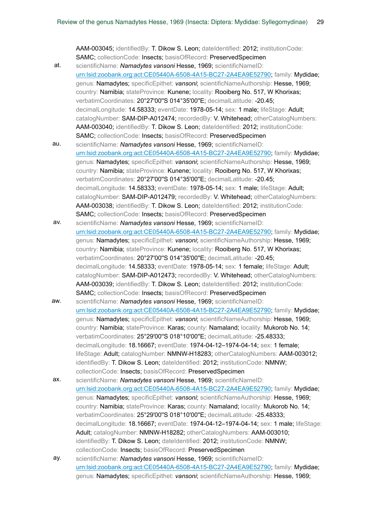AAM-003045; identifiedBy: T. Dikow S. Leon; dateIdentified: 2012; institutionCode: SAMC; collectionCode: Insects; basisOfRecord: PreservedSpecimen

- at. scientificName: *Namadytes vansoni* Hesse, 1969; scientificNameID: urn:lsid:zoobank.org:act:CE05440A-6508-4A15-BC27-2A4EA9E52790; family: Mydidae; genus: Namadytes; specificEpithet: *vansoni*; scientificNameAuthorship: Hesse, 1969; country: Namibia; stateProvince: Kunene; locality: Rooiberg No. 517, W Khorixas; verbatimCoordinates: 20°27'00''S 014°35'00''E; decimalLatitude: -20.45; decimalLongitude: 14.58333; eventDate: 1978-05-14; sex: 1 male; lifeStage: Adult; catalogNumber: SAM-DIP-A012474; recordedBy: V. Whitehead; otherCatalogNumbers: AAM-003040; identifiedBy: T. Dikow S. Leon; dateIdentified: 2012; institutionCode: SAMC; collectionCode: Insects; basisOfRecord: PreservedSpecimen
- au. scientificName: *Namadytes vansoni* Hesse, 1969; scientificNameID: urn:lsid:zoobank.org:act:CE05440A-6508-4A15-BC27-2A4EA9E52790; family: Mydidae; genus: Namadytes; specificEpithet: *vansoni*; scientificNameAuthorship: Hesse, 1969; country: Namibia; stateProvince: Kunene; locality: Rooiberg No. 517, W Khorixas; verbatimCoordinates: 20°27'00''S 014°35'00''E; decimalLatitude: -20.45; decimalLongitude: 14.58333; eventDate: 1978-05-14; sex: 1 male; lifeStage: Adult; catalogNumber: SAM-DIP-A012479; recordedBy: V. Whitehead; otherCatalogNumbers: AAM-003038; identifiedBy: T. Dikow S. Leon; dateIdentified: 2012; institutionCode: SAMC; collectionCode: Insects; basisOfRecord: PreservedSpecimen
- av. scientificName: *Namadytes vansoni* Hesse, 1969; scientificNameID: urn:lsid:zoobank.org:act:CE05440A-6508-4A15-BC27-2A4EA9E52790; family: Mydidae; genus: Namadytes; specificEpithet: *vansoni*; scientificNameAuthorship: Hesse, 1969; country: Namibia; stateProvince: Kunene; locality: Rooiberg No. 517, W Khorixas; verbatimCoordinates: 20°27'00''S 014°35'00''E; decimalLatitude: -20.45; decimalLongitude: 14.58333; eventDate: 1978-05-14; sex: 1 female; lifeStage: Adult; catalogNumber: SAM-DIP-A012473; recordedBy: V. Whitehead; otherCatalogNumbers: AAM-003039; identifiedBy: T. Dikow S. Leon; dateIdentified: 2012; institutionCode: SAMC; collectionCode: Insects; basisOfRecord: PreservedSpecimen
- aw. scientificName: *Namadytes vansoni* Hesse, 1969; scientificNameID: urn:lsid:zoobank.org:act:CE05440A-6508-4A15-BC27-2A4EA9E52790; family: Mydidae; genus: Namadytes; specificEpithet: *vansoni*; scientificNameAuthorship: Hesse, 1969; country: Namibia; stateProvince: Karas; county: Namaland; locality: Mukorob No. 14; verbatimCoordinates: 25°29'00''S 018°10'00''E; decimalLatitude: -25.48333; decimalLongitude: 18.16667; eventDate: 1974-04-12–1974-04-14; sex: 1 female; lifeStage: Adult; catalogNumber: NMNW-H18283; otherCatalogNumbers: AAM-003012; identifiedBy: T. Dikow S. Leon; dateIdentified: 2012; institutionCode: NMNW; collectionCode: Insects; basisOfRecord: PreservedSpecimen
- ax. scientificName: *Namadytes vansoni* Hesse, 1969; scientificNameID: urn:lsid:zoobank.org:act:CE05440A-6508-4A15-BC27-2A4EA9E52790; family: Mydidae; genus: Namadytes; specificEpithet: *vansoni*; scientificNameAuthorship: Hesse, 1969; country: Namibia; stateProvince: Karas; county: Namaland; locality: Mukorob No. 14; verbatimCoordinates: 25°29'00''S 018°10'00''E; decimalLatitude: -25.48333; decimalLongitude: 18.16667; eventDate: 1974-04-12–1974-04-14; sex: 1 male; lifeStage: Adult; catalogNumber: NMNW-H18282; otherCatalogNumbers: AAM-003010; identifiedBy: T. Dikow S. Leon; dateIdentified: 2012; institutionCode: NMNW; collectionCode: Insects; basisOfRecord: PreservedSpecimen ay. scientificName: *Namadytes vansoni* Hesse, 1969; scientificNameID:
	- urn:lsid:zoobank.org:act:CE05440A-6508-4A15-BC27-2A4EA9E52790; family: Mydidae; genus: Namadytes; specificEpithet: *vansoni*; scientificNameAuthorship: Hesse, 1969;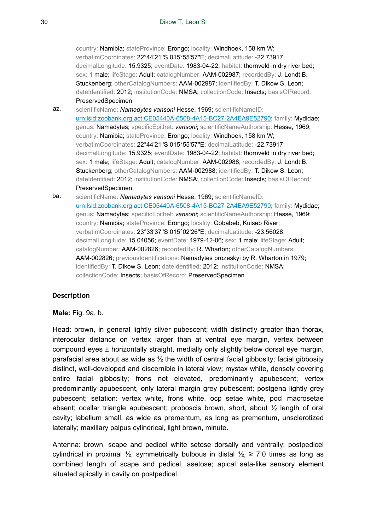country: Namibia; stateProvince: Erongo; locality: Windhoek, 158 km W; verbatimCoordinates: 22°44'21''S 015°55'57''E; decimalLatitude: -22.73917; decimalLongitude: 15.9325; eventDate: 1983-04-22; habitat: thornveld in dry river bed; sex: 1 male; lifeStage: Adult; catalogNumber: AAM-002987; recordedBy: J. Londt B. Stuckenberg; otherCatalogNumbers: AAM-002987; identifiedBy: T. Dikow S. Leon; dateIdentified: 2012; institutionCode: NMSA; collectionCode: Insects; basisOfRecord: PreservedSpecimen

az. scientificName: *Namadytes vansoni* Hesse, 1969; scientificNameID: urn:lsid:zoobank.org:act:CE05440A-6508-4A15-BC27-2A4EA9E52790; family: Mydidae; genus: Namadytes; specificEpithet: *vansoni*; scientificNameAuthorship: Hesse, 1969; country: Namibia; stateProvince: Erongo; locality: Windhoek, 158 km W; verbatimCoordinates: 22°44'21''S 015°55'57''E; decimalLatitude: -22.73917; decimalLongitude: 15.9325; eventDate: 1983-04-22; habitat: thornveld in dry river bed; sex: 1 male; lifeStage: Adult; catalogNumber: AAM-002988; recordedBy: J. Londt B. Stuckenberg; otherCatalogNumbers: AAM-002988; identifiedBy: T. Dikow S. Leon; dateIdentified: 2012; institutionCode: NMSA; collectionCode: Insects; basisOfRecord: PreservedSpecimen

ba. scientificName: *Namadytes vansoni* Hesse, 1969; scientificNameID: urn:lsid:zoobank.org:act:CE05440A-6508-4A15-BC27-2A4EA9E52790; family: Mydidae; genus: Namadytes; specificEpithet: *vansoni*; scientificNameAuthorship: Hesse, 1969; country: Namibia; stateProvince: Erongo; locality: Gobabeb, Kuiseb River; verbatimCoordinates: 23°33'37''S 015°02'26''E; decimalLatitude: -23.56028; decimalLongitude: 15.04056; eventDate: 1979-12-06; sex: 1 male; lifeStage: Adult; catalogNumber: AAM-002826; recordedBy: R. Wharton; otherCatalogNumbers: AAM-002826; previousIdentifications: Namadytes prozeskyi by R. Wharton in 1979; identifiedBy: T. Dikow S. Leon; dateIdentified: 2012; institutionCode: NMSA; collectionCode: Insects; basisOfRecord: PreservedSpecimen

# **Description**

**Male:** Fig. 9a, b.

Head: brown, in general lightly silver pubescent; width distinctly greater than thorax, interocular distance on vertex larger than at ventral eye margin, vertex between compound eyes  $\pm$  horizontally straight, medially only slightly below dorsal eye margin, parafacial area about as wide as  $\frac{1}{2}$  the width of central facial gibbosity; facial gibbosity distinct, well-developed and discernible in lateral view; mystax white, densely covering entire facial gibbosity; frons not elevated, predominantly apubescent; vertex predominantly apubescent, only lateral margin grey pubescent; postgena lightly grey pubescent; setation: vertex white, frons white, ocp setae white, pocl macrosetae absent; ocellar triangle apubescent; proboscis brown, short, about  $\frac{1}{2}$  length of oral cavity; labellum small, as wide as prementum, as long as prementum, unsclerotized laterally; maxillary palpus cylindrical, light brown, minute.

Antenna: brown, scape and pedicel white setose dorsally and ventrally; postpedicel cylindrical in proximal ½, symmetrically bulbous in distal  $\frac{1}{2}$ , ≥ 7.0 times as long as combined length of scape and pedicel, asetose; apical seta-like sensory element situated apically in cavity on postpedicel.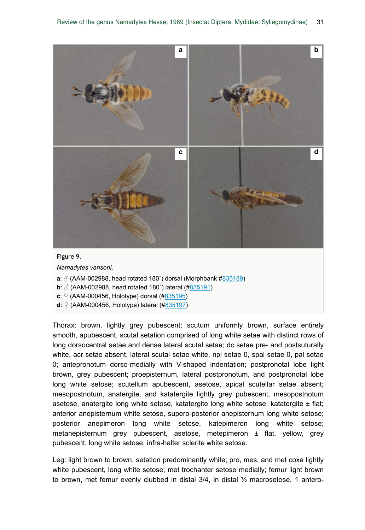![](_page_30_Figure_1.jpeg)

*Namadytes vansoni*.

- **a**:  $\delta$  (AAM-002988, head rotated 180°) dorsal (Morphbank #835189)
- **b**:  $\sqrt{3}$  (AAM-002988, head rotated 180°) lateral (#835191)
- **c**: ♀ (AAM-000456, Holotype) dorsal (#835195)
- **d**: ♀ (AAM-000456, Holotype) lateral (#835197)

Thorax: brown, lightly grey pubescent; scutum uniformly brown, surface entirely smooth, apubescent, scutal setation comprised of long white setae with distinct rows of long dorsocentral setae and dense lateral scutal setae; dc setae pre- and postsuturally white, acr setae absent, lateral scutal setae white, npl setae 0, spal setae 0, pal setae 0; antepronotum dorso-medially with V-shaped indentation; postpronotal lobe light brown, grey pubescent; proepisternum, lateral postpronotum, and postpronotal lobe long white setose; scutellum apubescent, asetose, apical scutellar setae absent; mesopostnotum, anatergite, and katatergite lightly grey pubescent, mesopostnotum asetose, anatergite long white setose, katatergite long white setose; katatergite  $\pm$  flat; anterior anepisternum white setose, supero-posterior anepisternum long white setose; posterior anepimeron long white setose, katepimeron long white setose; metanepisternum grey pubescent, asetose, metepimeron ± flat, yellow, grey pubescent, long white setose; infra-halter sclerite white setose.

Leg: light brown to brown, setation predominantly white; pro, mes, and met coxa lightly white pubescent, long white setose; met trochanter setose medially; femur light brown to brown, met femur evenly clubbed in distal  $3/4$ , in distal  $\frac{1}{2}$  macrosetose, 1 antero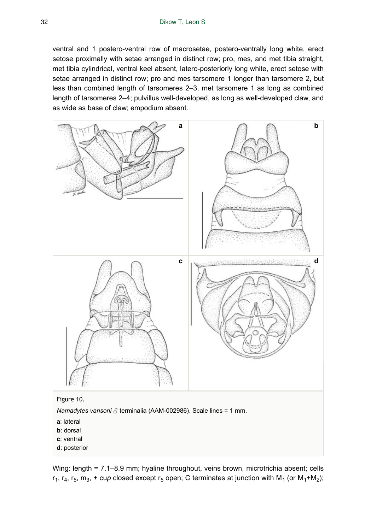ventral and 1 postero-ventral row of macrosetae, postero-ventrally long white, erect setose proximally with setae arranged in distinct row; pro, mes, and met tibia straight, met tibia cylindrical, ventral keel absent, latero-posteriorly long white, erect setose with setae arranged in distinct row; pro and mes tarsomere 1 longer than tarsomere 2, but less than combined length of tarsomeres 2–3, met tarsomere 1 as long as combined length of tarsomeres 2–4; pulvillus well-developed, as long as well-developed claw, and as wide as base of claw; empodium absent.

![](_page_31_Figure_2.jpeg)

Wing: length = 7.1–8.9 mm; hyaline throughout, veins brown, microtrichia absent; cells  $r_1$ ,  $r_4$ ,  $r_5$ ,  $m_3$ , + cu*p* closed except  $r_5$  open; C terminates at junction with M<sub>1</sub> (or M<sub>1</sub>+M<sub>2</sub>);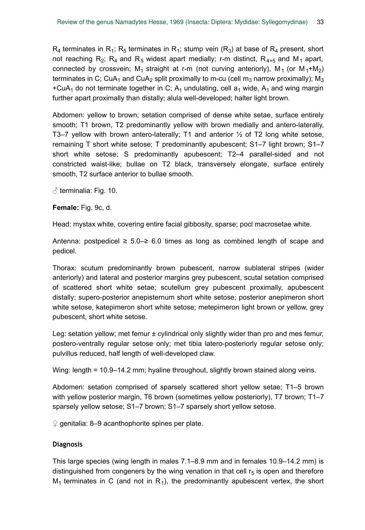$\mathsf{R}_4$  terminates in  $\mathsf{R}_4$ ;  $\mathsf{R}_5$  terminates in  $\mathsf{R}_4$ ; stump vein  $(\mathsf{R}_3)$  at base of  $\mathsf{R}_4$  present, short not reaching R<sub>2</sub>; R<sub>4</sub> and R<sub>5</sub> widest apart medially; r-m distinct, R<sub>4+5</sub> and M<sub>1</sub> apart, connected by crossvein; M<sub>1</sub> straight at r-m (not curving anteriorly), M<sub>1</sub> (or M<sub>1</sub>+M<sub>2</sub>) terminates in C; CuA<sub>1</sub> and CuA<sub>2</sub> split proximally to m-cu (cell m<sub>3</sub> narrow proximally); M<sub>3</sub> +CuA<sub>1</sub> do not terminate together in C; A<sub>1</sub> undulating, cell a<sub>1</sub> wide, A<sub>1</sub> and wing margin further apart proximally than distally; alula well-developed; halter light brown.

Abdomen: yellow to brown; setation comprised of dense white setae, surface entirely smooth; T1 brown, T2 predominantly yellow with brown medially and antero-laterally, T3–7 yellow with brown antero-laterally; T1 and anterior ½ of T2 long white setose, remaining T short white setose; T predominantly apubescent; S1–7 light brown; S1–7 short white setose; S predominantly apubescent; T2–4 parallel-sided and not constricted waist-like; bullae on T2 black, transversely elongate, surface entirely smooth, T2 surface anterior to bullae smooth.

 $\beta$  terminalia: Fig. 10.

**Female:** Fig. 9c, d.

Head: mystax white, covering entire facial gibbosity, sparse; pocl macrosetae white.

Antenna: postpedicel  $\geq 5.0 - \geq 6.0$  times as long as combined length of scape and pedicel.

Thorax: scutum predominantly brown pubescent, narrow sublateral stripes (wider anteriorly) and lateral and posterior margins grey pubescent, scutal setation comprised of scattered short white setae; scutellum grey pubescent proximally, apubescent distally; supero-posterior anepisternum short white setose; posterior anepimeron short white setose, katepimeron short white setose; metepimeron light brown or yellow, grey pubescent, short white setose.

Leg: setation yellow; met femur ± cylindrical only slightly wider than pro and mes femur, postero-ventrally regular setose only; met tibia latero-posteriorly regular setose only; pulvillus reduced, half length of well-developed claw.

Wing: length = 10.9–14.2 mm; hyaline throughout, slightly brown stained along veins.

Abdomen: setation comprised of sparsely scattered short yellow setae; T1–5 brown with yellow posterior margin, T6 brown (sometimes yellow posteriorly), T7 brown; T1–7 sparsely yellow setose; S1–7 brown; S1–7 sparsely short yellow setose.

 $\degree$  genitalia: 8–9 acanthophorite spines per plate.

# **Diagnosis**

This large species (wing length in males 7.1–8.9 mm and in females 10.9–14.2 mm) is distinguished from congeners by the wing venation in that cell  $r_5$  is open and therefore  $M_1$  terminates in C (and not in R<sub>1</sub>), the predominantly apubescent vertex, the short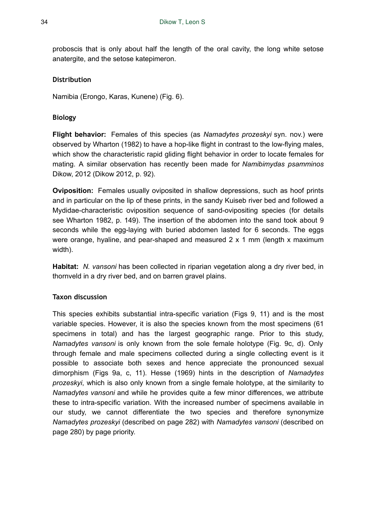proboscis that is only about half the length of the oral cavity, the long white setose anatergite, and the setose katepimeron.

### **Distribution**

Namibia (Erongo, Karas, Kunene) (Fig. 6).

### **Biology**

**Flight behavior:** Females of this species (as *Namadytes prozeskyi* syn. nov.) were observed by Wharton (1982) to have a hop-like flight in contrast to the low-flying males, which show the characteristic rapid gliding flight behavior in order to locate females for mating. A similar observation has recently been made for *Namibimydas psamminos* Dikow, 2012 (Dikow 2012, p. 92).

**Oviposition:** Females usually oviposited in shallow depressions, such as hoof prints and in particular on the lip of these prints, in the sandy Kuiseb river bed and followed a Mydidae-characteristic oviposition sequence of sand-ovipositing species (for details see Wharton 1982, p. 149). The insertion of the abdomen into the sand took about 9 seconds while the egg-laying with buried abdomen lasted for 6 seconds. The eggs were orange, hyaline, and pear-shaped and measured 2 x 1 mm (length x maximum width).

**Habitat:** *N. vansoni* has been collected in riparian vegetation along a dry river bed, in thornveld in a dry river bed, and on barren gravel plains.

### **Taxon discussion**

This species exhibits substantial intra-specific variation (Figs 9, 11) and is the most variable species. However, it is also the species known from the most specimens (61 specimens in total) and has the largest geographic range. Prior to this study, *Namadytes vansoni* is only known from the sole female holotype (Fig. 9c, d). Only through female and male specimens collected during a single collecting event is it possible to associate both sexes and hence appreciate the pronounced sexual dimorphism (Figs 9a, c, 11). Hesse (1969) hints in the description of *Namadytes prozeskyi*, which is also only known from a single female holotype, at the similarity to *Namadytes vansoni* and while he provides quite a few minor differences, we attribute these to intra-specific variation. With the increased number of specimens available in our study, we cannot differentiate the two species and therefore synonymize *Namadytes prozeskyi* (described on page 282) with *Namadytes vansoni* (described on page 280) by page priority.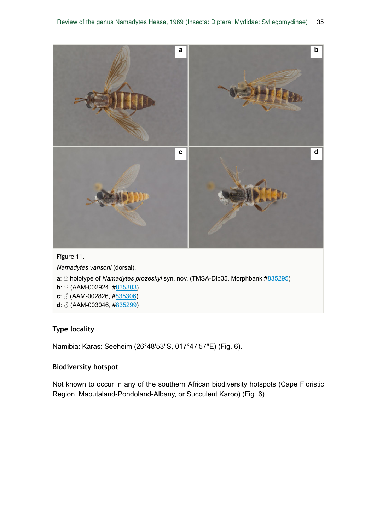![](_page_34_Figure_1.jpeg)

# **Type locality**

Namibia: Karas: Seeheim (26°48'53''S, 017°47'57''E) (Fig. 6).

### **Biodiversity hotspot**

Not known to occur in any of the southern African biodiversity hotspots (Cape Floristic Region, Maputaland-Pondoland-Albany, or Succulent Karoo) (Fig. 6).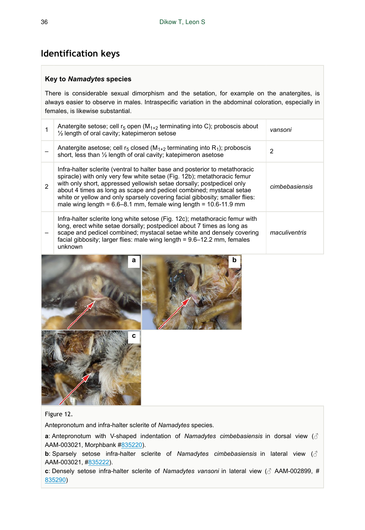# **Identification keys**

### **Key to** *Namadytes* **species**

There is considerable sexual dimorphism and the setation, for example on the anatergites, is always easier to observe in males. Intraspecific variation in the abdominal coloration, especially in females, is likewise substantial.

|               | Anatergite setose; cell $r_5$ open $(M_{1+2}$ terminating into C); proboscis about<br>1/2 length of oral cavity; katepimeron setose                                                                                                                                                                                                                                                                                                                               | vansoni        |
|---------------|-------------------------------------------------------------------------------------------------------------------------------------------------------------------------------------------------------------------------------------------------------------------------------------------------------------------------------------------------------------------------------------------------------------------------------------------------------------------|----------------|
|               | Anatergite asetose; cell $r_5$ closed ( $M_{1+2}$ terminating into $R_1$ ); proboscis<br>short, less than 1/2 length of oral cavity; katepimeron asetose                                                                                                                                                                                                                                                                                                          | 2              |
| $\mathcal{P}$ | Infra-halter sclerite (ventral to halter base and posterior to metathoracic<br>spiracle) with only very few white setae (Fig. 12b); metathoracic femur<br>with only short, appressed yellowish setae dorsally; postpedicel only<br>about 4 times as long as scape and pedicel combined; mystacal setae<br>white or yellow and only sparsely covering facial gibbosity; smaller flies:<br>male wing length = $6.6 - 8.1$ mm, female wing length = $10.6 - 11.9$ mm | cimbebasiensis |
|               | Infra-halter sclerite long white setose (Fig. 12c); metathoracic femur with<br>long, erect white setae dorsally; postpedicel about 7 times as long as<br>scape and pedicel combined; mystacal setae white and densely covering<br>facial gibbosity; larger flies: male wing length = 9.6-12.2 mm, females<br>unknown                                                                                                                                              | maculiventris  |

![](_page_35_Picture_5.jpeg)

![](_page_35_Picture_6.jpeg)

Figure 12.

Antepronotum and infra-halter sclerite of *Namadytes* species.

**a**: Antepronotum with V-shaped indentation of *Namadytes cimbebasiensis* in dorsal view (♂ AAM-003021, Morphbank #835220).

**b**: Sparsely setose infra-halter sclerite of *Namadytes cimbebasiensis* in lateral view (♂ AAM-003021, #835222).

**c**: Densely setose infra-halter sclerite of *Namadytes vansoni* in lateral view (♂ AAM-002899, # 835290)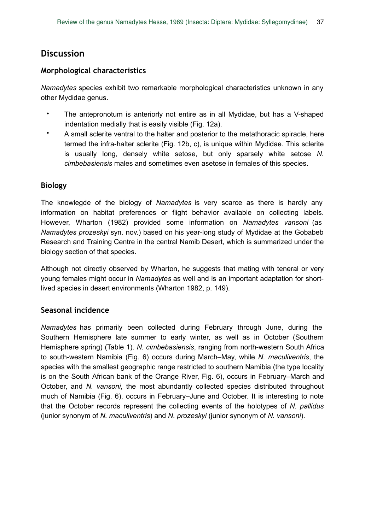# **Discussion**

# **Morphological characteristics**

*Namadytes* species exhibit two remarkable morphological characteristics unknown in any other Mydidae genus.

- The antepronotum is anteriorly not entire as in all Mydidae, but has a V-shaped indentation medially that is easily visible (Fig. 12a).
- A small sclerite ventral to the halter and posterior to the metathoracic spiracle, here termed the infra-halter sclerite (Fig. 12b, c), is unique within Mydidae. This sclerite is usually long, densely white setose, but only sparsely white setose *N. cimbebasiensis* males and sometimes even asetose in females of this species.

# **Biology**

The knowlegde of the biology of *Namadytes* is very scarce as there is hardly any information on habitat preferences or flight behavior available on collecting labels. However, Wharton (1982) provided some information on *Namadytes vansoni* (as *Namadytes prozeskyi* syn. nov.) based on his year-long study of Mydidae at the Gobabeb Research and Training Centre in the central Namib Desert, which is summarized under the biology section of that species.

Although not directly observed by Wharton, he suggests that mating with teneral or very young females might occur in *Namadytes* as well and is an important adaptation for shortlived species in desert environments (Wharton 1982, p. 149).

# **Seasonal incidence**

*Namadytes* has primarily been collected during February through June, during the Southern Hemisphere late summer to early winter, as well as in October (Southern Hemisphere spring) (Table 1). *N. cimbebasiensis*, ranging from north-western South Africa to south-western Namibia (Fig. 6) occurs during March–May, while *N. maculiventris*, the species with the smallest geographic range restricted to southern Namibia (the type locality is on the South African bank of the Orange River, Fig. 6), occurs in February–March and October, and *N. vansoni*, the most abundantly collected species distributed throughout much of Namibia (Fig. 6), occurs in February–June and October. It is interesting to note that the October records represent the collecting events of the holotypes of *N. pallidus* (junior synonym of *N. maculiventris*) and *N. prozeskyi* (junior synonym of *N. vansoni*).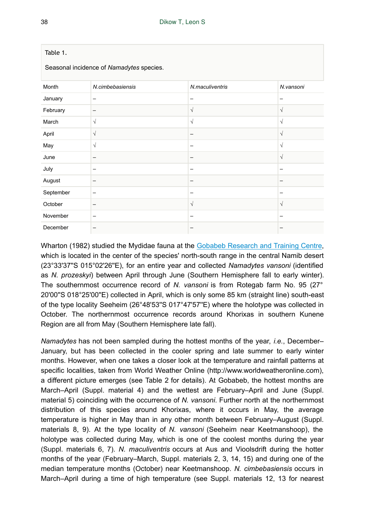| Table 1.<br>Seasonal incidence of Namadytes species. |                          |                 |           |  |  |  |  |  |  |
|------------------------------------------------------|--------------------------|-----------------|-----------|--|--|--|--|--|--|
| Month                                                | N.cimbebasiensis         | N.maculiventris | N.vansoni |  |  |  |  |  |  |
| January                                              | -                        |                 | -         |  |  |  |  |  |  |
| February                                             | -                        | $\sqrt{ }$      | $\sqrt{}$ |  |  |  |  |  |  |
| March                                                | $\sqrt{}$                | $\sqrt{ }$      | $\sqrt{}$ |  |  |  |  |  |  |
| April                                                | $\sqrt{}$                |                 | $\sqrt{}$ |  |  |  |  |  |  |
| May                                                  | $\sqrt{}$                |                 | $\sqrt{}$ |  |  |  |  |  |  |
| June                                                 | -                        |                 | $\sqrt{}$ |  |  |  |  |  |  |
| July                                                 | $\overline{\phantom{0}}$ |                 | -         |  |  |  |  |  |  |
| August                                               | -                        | -               | -         |  |  |  |  |  |  |
| September                                            | -                        | -               |           |  |  |  |  |  |  |
| October                                              |                          | $\sqrt{ }$      | $\sqrt{}$ |  |  |  |  |  |  |
| November                                             | -                        |                 |           |  |  |  |  |  |  |
| December                                             | -                        |                 |           |  |  |  |  |  |  |

Wharton (1982) studied the Mydidae fauna at the Gobabeb Research and Training Centre, which is located in the center of the species' north-south range in the central Namib desert (23°33'37''S 015°02'26''E), for an entire year and collected *Namadytes vansoni* (identified as *N. prozeskyi*) between April through June (Southern Hemisphere fall to early winter). The southernmost occurrence record of *N. vansoni* is from Rotegab farm No. 95 (27° 20'00''S 018°25'00''E) collected in April, which is only some 85 km (straight line) south-east of the type locality Seeheim (26°48'53''S 017°47'57''E) where the holotype was collected in October. The northernmost occurrence records around Khorixas in southern Kunene Region are all from May (Southern Hemisphere late fall).

*Namadytes* has not been sampled during the hottest months of the year, *i.e.*, December– January, but has been collected in the cooler spring and late summer to early winter months. However, when one takes a closer look at the temperature and rainfall patterns at specific localities, taken from World Weather Online (http://www.worldweatheronline.com), a different picture emerges (see Table 2 for details). At Gobabeb, the hottest months are March–April (Suppl. material 4) and the wettest are February–April and June (Suppl. material 5) coinciding with the occurrence of *N. vansoni*. Further north at the northernmost distribution of this species around Khorixas, where it occurs in May, the average temperature is higher in May than in any other month between February–August (Suppl. materials 8, 9). At the type locality of *N. vansoni* (Seeheim near Keetmanshoop), the holotype was collected during May, which is one of the coolest months during the year (Suppl. materials 6, 7). *N. maculiventris* occurs at Aus and Vioolsdrift during the hotter months of the year (February–March, Suppl. materials 2, 3, 14, 15) and during one of the median temperature months (October) near Keetmanshoop. *N. cimbebasiensis* occurs in March–April during a time of high temperature (see Suppl. materials 12, 13 for nearest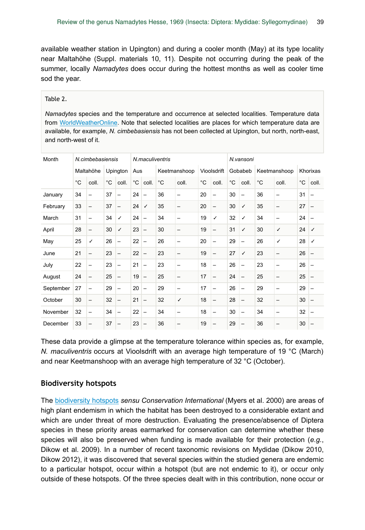available weather station in Upington) and during a cooler month (May) at its type locality near Maltahöhe (Suppl. materials 10, 11). Despite not occurring during the peak of the summer, locally *Namadytes* does occur during the hottest months as well as cooler time sod the year.

#### Table 2.

*Namadytes* species and the temperature and occurrence at selected localities. Temperature data from WorldWeatherOnline. Note that selected localities are places for which temperature data are available, for example, *N. cimbebasiensis* has not been collected at Upington, but north, north-east, and north-west of it.

| Month     | N.cimbebasiensis |       |              |                          | N.maculiventris |                          |              |       |              |                          | N.vansoni |                          |              |                          |              |       |
|-----------|------------------|-------|--------------|--------------------------|-----------------|--------------------------|--------------|-------|--------------|--------------------------|-----------|--------------------------|--------------|--------------------------|--------------|-------|
|           | Maltahöhe        |       | Upington     |                          | Aus             |                          | Keetmanshoop |       | Vioolsdrift  |                          | Gobabeb   |                          | Keetmanshoop |                          | Khorixas     |       |
|           | $^{\circ}C$      | coll. | $^{\circ}$ C | coll.                    | °C              | coll.                    | $^{\circ}C$  | coll. | $^{\circ}$ C | coll.                    | °C        | coll.                    | $^{\circ}C$  | coll.                    | $^{\circ}$ C | coll. |
| January   | 34               | -     | 37           | -                        | 24              | $\overline{\phantom{0}}$ | 36           | -     | 20           | $\overline{\phantom{0}}$ | 30        | -                        | 36           | $\overline{\phantom{0}}$ | 31           |       |
| February  | 33               | -     | 37           | $\overline{\phantom{0}}$ | 24              | $\checkmark$             | 35           | -     | 20           | $\overline{\phantom{0}}$ | 30        | ✓                        | 35           | $\overline{\phantom{0}}$ | 27           |       |
| March     | 31               | -     | 34           | ✓                        | 24              | $\overline{\phantom{0}}$ | 34           | -     | 19           | ✓                        | 32        | ✓                        | 34           | $\overline{\phantom{0}}$ | 24           |       |
| April     | 28               | -     | 30           | ✓                        | 23              | $\overline{\phantom{0}}$ | 30           | -     | 19           | -                        | 31        | ✓                        | 30           | ✓                        | 24           | ✓     |
| May       | 25               | ✓     | 26           | -                        | 22              | $\overline{\phantom{0}}$ | 26           | -     | 20           | -                        | 29        | $\overline{\phantom{0}}$ | 26           | ✓                        | 28           | ✓     |
| June      | 21               | -     | 23           | $\overline{\phantom{0}}$ | 22              | $\overline{\phantom{0}}$ | 23           | -     | 19           | -                        | 27        | ✓                        | 23           | -                        | 26           |       |
| July      | 22               | -     | 23           | -                        | 21              | $\overline{\phantom{0}}$ | 23           | -     | 18           |                          | 26        | $\overline{\phantom{0}}$ | 23           | -                        | 26           |       |
| August    | 24               | -     | 25           | $\overline{\phantom{0}}$ | 19              | $\overline{\phantom{0}}$ | 25           | -     | 17           | -                        | 24        | $\overline{\phantom{0}}$ | 25           | -                        | 25           |       |
| September | 27               | -     | 29           | -                        | 20              | $\overline{\phantom{0}}$ | 29           | -     | 17           | -                        | 26        | -                        | 29           | -                        | 29           |       |
| October   | 30               | -     | 32           | -                        | 21              | $\overline{\phantom{0}}$ | 32           | ✓     | 18           | -                        | 28        | -                        | 32           | -                        | 30           |       |
| November  | 32               | -     | 34           |                          | 22              | $\overline{\phantom{0}}$ | 34           | -     | 18           | -                        | 30        | -                        | 34           | -                        | 32           |       |
| December  | 33               | -     | 37           | -                        | 23              | $\overline{\phantom{0}}$ | 36           |       | 19           | -                        | 29        |                          | 36           |                          | 30           |       |

These data provide a glimpse at the temperature tolerance within species as, for example, *N. maculiventris* occurs at Vioolsdrift with an average high temperature of 19 °C (March) and near Keetmanshoop with an average high temperature of 32 °C (October).

### **Biodiversity hotspots**

The biodiversity hotspots *sensu Conservation International* (Myers et al. 2000) are areas of high plant endemism in which the habitat has been destroyed to a considerable extant and which are under threat of more destruction. Evaluating the presence/absence of Diptera species in these priority areas earmarked for conservation can determine whether these species will also be preserved when funding is made available for their protection (*e.g.*, Dikow et al. 2009). In a number of recent taxonomic revisions on Mydidae (Dikow 2010, Dikow 2012), it was discovered that several species within the studied genera are endemic to a particular hotspot, occur within a hotspot (but are not endemic to it), or occur only outside of these hotspots. Of the three species dealt with in this contribution, none occur or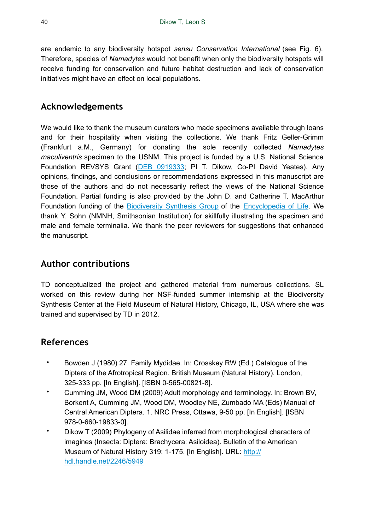are endemic to any biodiversity hotspot *sensu Conservation International* (see Fig. 6). Therefore, species of *Namadytes* would not benefit when only the biodiversity hotspots will receive funding for conservation and future habitat destruction and lack of conservation initiatives might have an effect on local populations.

# **Acknowledgements**

We would like to thank the museum curators who made specimens available through loans and for their hospitality when visiting the collections. We thank Fritz Geller-Grimm (Frankfurt a.M., Germany) for donating the sole recently collected *Namadytes maculiventris* specimen to the USNM. This project is funded by a U.S. National Science Foundation REVSYS Grant (DEB 0919333; PI T. Dikow, Co-PI David Yeates). Any opinions, findings, and conclusions or recommendations expressed in this manuscript are those of the authors and do not necessarily reflect the views of the National Science Foundation. Partial funding is also provided by the John D. and Catherine T. MacArthur Foundation funding of the Biodiversity Synthesis Group of the Encyclopedia of Life. We thank Y. Sohn (NMNH, Smithsonian Institution) for skillfully illustrating the specimen and male and female terminalia. We thank the peer reviewers for suggestions that enhanced the manuscript.

# **Author contributions**

TD conceptualized the project and gathered material from numerous collections. SL worked on this review during her NSF-funded summer internship at the Biodiversity Synthesis Center at the Field Museum of Natural History, Chicago, IL, USA where she was trained and supervised by TD in 2012.

# **References**

- Bowden J (1980) 27. Family Mydidae. In: Crosskey RW (Ed.) Catalogue of the Diptera of the Afrotropical Region. British Museum (Natural History), London, 325-333 pp. [In English]. [ISBN 0-565-00821-8].
- Cumming JM, Wood DM (2009) Adult morphology and terminology. In: Brown BV, Borkent A, Cumming JM, Wood DM, Woodley NE, Zumbado MA (Eds) Manual of Central American Diptera. 1. NRC Press, Ottawa, 9-50 pp. [In English]. [ISBN 978-0-660-19833-0].
- Dikow T (2009) Phylogeny of Asilidae inferred from morphological characters of imagines (Insecta: Diptera: Brachycera: Asiloidea). Bulletin of the American Museum of Natural History 319: 1-175. [In English]. URL: http:// hdl.handle.net/2246/5949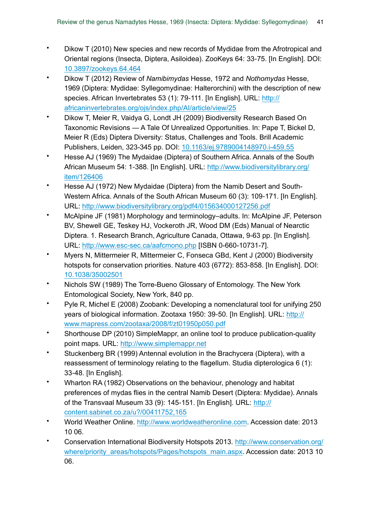- Dikow T (2010) New species and new records of Mydidae from the Afrotropical and Oriental regions (Insecta, Diptera, Asiloidea). ZooKeys 64: 33‑75. [In English]. DOI: 10.3897/zookeys.64.464
- Dikow T (2012) Review of *Namibimydas* Hesse, 1972 and *Nothomydas* Hesse, 1969 (Diptera: Mydidae: Syllegomydinae: Halterorchini) with the description of new species. African Invertebrates 53 (1): 79-111. [In English]. URL: http:// africaninvertebrates.org/ojs/index.php/AI/article/view/25
- Dikow T, Meier R, Vaidya G, Londt JH (2009) Biodiversity Research Based On Taxonomic Revisions — A Tale Of Unrealized Opportunities. In: Pape T, Bickel D, Meier R (Eds) Diptera Diversity: Status, Challenges and Tools. Brill Academic Publishers, Leiden, 323-345 pp. DOI: 10.1163/ej.9789004148970.i-459.55
- Hesse AJ (1969) The Mydaidae (Diptera) of Southern Africa. Annals of the South African Museum 54: 1‑388. [In English]. URL: http://www.biodiversitylibrary.org/ item/126406
- Hesse AJ (1972) New Mydaidae (Diptera) from the Namib Desert and South-Western Africa. Annals of the South African Museum 60 (3): 109-171. [In English]. URL: http://www.biodiversitylibrary.org/pdf4/015634000127256.pdf
- McAlpine JF (1981) Morphology and terminology–adults. In: McAlpine JF, Peterson BV, Shewell GE, Teskey HJ, Vockeroth JR, Wood DM (Eds) Manual of Nearctic Diptera. 1. Research Branch, Agriculture Canada, Ottawa, 9-63 pp. [In English]. URL: http://www.esc-sec.ca/aafcmono.php [ISBN 0-660-10731-7].
- Myers N, Mittermeier R, Mittermeier C, Fonseca GBd, Kent J (2000) Biodiversity hotspots for conservation priorities. Nature 403 (6772): 853-858. [In English]. DOI: 10.1038/35002501
- Nichols SW (1989) The Torre-Bueno Glossary of Entomology. The New York Entomological Society, New York, 840 pp.
- Pyle R, Michel E (2008) Zoobank: Developing a nomenclatural tool for unifying 250 years of biological information. Zootaxa 1950: 39-50. [In English]. URL: http:// www.mapress.com/zootaxa/2008/f/zt01950p050.pdf
- Shorthouse DP (2010) SimpleMappr, an online tool to produce publication-quality point maps. URL: http://www.simplemappr.net
- Stuckenberg BR (1999) Antennal evolution in the Brachycera (Diptera), with a reassessment of terminology relating to the flagellum. Studia dipterologica 6 (1): 33‑48. [In English].
- Wharton RA (1982) Observations on the behaviour, phenology and habitat preferences of mydas flies in the central Namib Desert (Diptera: Mydidae). Annals of the Transvaal Museum 33 (9): 145-151. [In English]. URL: http:// content.sabinet.co.za/u?/00411752,165
- World Weather Online. http://www.worldweatheronline.com. Accession date: 2013 10 06.
- Conservation International Biodiversity Hotspots 2013. http://www.conservation.org/ where/priority\_areas/hotspots/Pages/hotspots\_main.aspx. Accession date: 2013 10 06.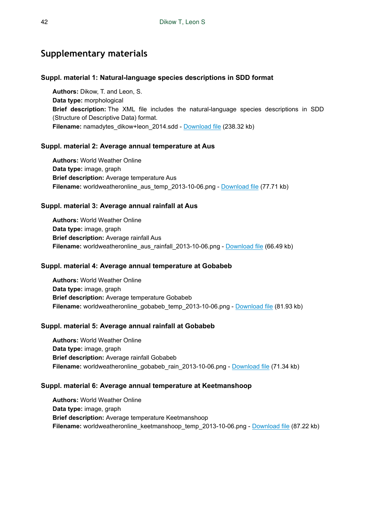# **Supplementary materials**

#### **Suppl. material 1: Natural-language species descriptions in SDD format**

**Authors:** Dikow, T. and Leon, S. **Data type:** morphological **Brief description:** The XML file includes the natural-language species descriptions in SDD (Structure of Descriptive Data) format. Filename: namadytes\_dikow+leon\_2014.sdd - Download file (238.32 kb)

#### **Suppl. material 2: Average annual temperature at Aus**

**Authors:** World Weather Online **Data type:** image, graph **Brief description:** Average temperature Aus **Filename:** worldweatheronline\_aus\_temp\_2013-10-06.png - Download file (77.71 kb)

#### **Suppl. material 3: Average annual rainfall at Aus**

**Authors:** World Weather Online **Data type:** image, graph **Brief description:** Average rainfall Aus **Filename:** worldweatheronline\_aus\_rainfall\_2013-10-06.png - Download file (66.49 kb)

#### **Suppl. material 4: Average annual temperature at Gobabeb**

**Authors:** World Weather Online **Data type:** image, graph **Brief description:** Average temperature Gobabeb **Filename:** worldweatheronline\_gobabeb\_temp\_2013-10-06.png - Download file (81.93 kb)

#### **Suppl. material 5: Average annual rainfall at Gobabeb**

**Authors:** World Weather Online **Data type:** image, graph **Brief description:** Average rainfall Gobabeb **Filename:** worldweatheronline\_gobabeb\_rain\_2013-10-06.png - Download file (71.34 kb)

#### **Suppl. material 6: Average annual temperature at Keetmanshoop**

**Authors:** World Weather Online **Data type:** image, graph **Brief description:** Average temperature Keetmanshoop **Filename:** worldweatheronline\_keetmanshoop\_temp\_2013-10-06.png - Download file (87.22 kb)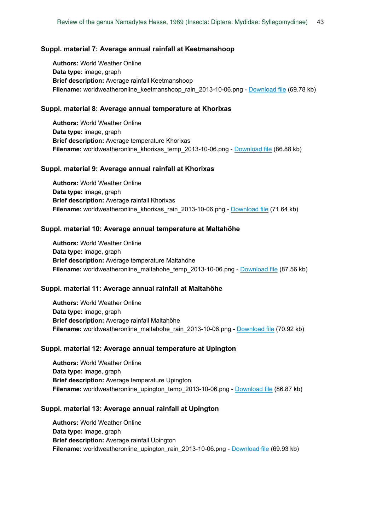#### **Suppl. material 7: Average annual rainfall at Keetmanshoop**

**Authors:** World Weather Online **Data type:** image, graph **Brief description:** Average rainfall Keetmanshoop **Filename:** worldweatheronline\_keetmanshoop\_rain\_2013-10-06.png - Download file (69.78 kb)

#### **Suppl. material 8: Average annual temperature at Khorixas**

**Authors:** World Weather Online **Data type:** image, graph **Brief description:** Average temperature Khorixas **Filename:** worldweatheronline khorixas temp 2013-10-06.png - Download file (86.88 kb)

#### **Suppl. material 9: Average annual rainfall at Khorixas**

**Authors:** World Weather Online **Data type:** image, graph **Brief description:** Average rainfall Khorixas **Filename:** worldweatheronline\_khorixas\_rain\_2013-10-06.png - Download file (71.64 kb)

#### **Suppl. material 10: Average annual temperature at Maltahöhe**

**Authors:** World Weather Online **Data type:** image, graph **Brief description:** Average temperature Maltahöhe **Filename:** worldweatheronline\_maltahohe\_temp\_2013-10-06.png - Download file (87.56 kb)

#### **Suppl. material 11: Average annual rainfall at Maltahöhe**

**Authors:** World Weather Online **Data type:** image, graph **Brief description:** Average rainfall Maltahöhe **Filename:** worldweatheronline\_maltahohe\_rain\_2013-10-06.png - Download file (70.92 kb)

#### **Suppl. material 12: Average annual temperature at Upington**

**Authors:** World Weather Online **Data type:** image, graph **Brief description:** Average temperature Upington **Filename:** worldweatheronline\_upington\_temp\_2013-10-06.png - Download file (86.87 kb)

#### **Suppl. material 13: Average annual rainfall at Upington**

**Authors:** World Weather Online **Data type:** image, graph **Brief description:** Average rainfall Upington **Filename:** worldweatheronline\_upington\_rain\_2013-10-06.png - Download file (69.93 kb)